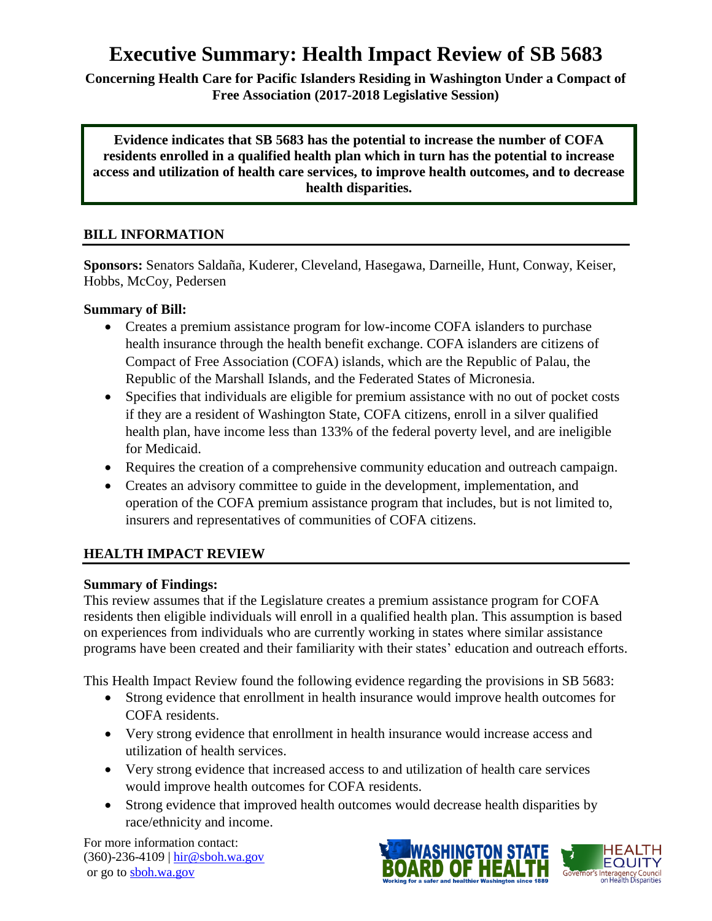# **Executive Summary: Health Impact Review of SB 5683**

**Concerning Health Care for Pacific Islanders Residing in Washington Under a Compact of Free Association (2017-2018 Legislative Session)**

**Evidence indicates that SB 5683 has the potential to increase the number of COFA residents enrolled in a qualified health plan which in turn has the potential to increase access and utilization of health care services, to improve health outcomes, and to decrease health disparities.**

## **BILL INFORMATION**

**Sponsors:** Senators Saldaña, Kuderer, Cleveland, Hasegawa, Darneille, Hunt, Conway, Keiser, Hobbs, McCoy, Pedersen

#### **Summary of Bill:**

- Creates a premium assistance program for low-income COFA islanders to purchase health insurance through the health benefit exchange. COFA islanders are citizens of Compact of Free Association (COFA) islands, which are the Republic of Palau, the Republic of the Marshall Islands, and the Federated States of Micronesia.
- Specifies that individuals are eligible for premium assistance with no out of pocket costs if they are a resident of Washington State, COFA citizens, enroll in a silver qualified health plan, have income less than 133% of the federal poverty level, and are ineligible for Medicaid.
- Requires the creation of a comprehensive community education and outreach campaign.
- Creates an advisory committee to guide in the development, implementation, and operation of the COFA premium assistance program that includes, but is not limited to, insurers and representatives of communities of COFA citizens.

#### **HEALTH IMPACT REVIEW**

#### **Summary of Findings:**

This review assumes that if the Legislature creates a premium assistance program for COFA residents then eligible individuals will enroll in a qualified health plan. This assumption is based on experiences from individuals who are currently working in states where similar assistance programs have been created and their familiarity with their states' education and outreach efforts.

This Health Impact Review found the following evidence regarding the provisions in SB 5683:

- Strong evidence that enrollment in health insurance would improve health outcomes for COFA residents.
- Very strong evidence that enrollment in health insurance would increase access and utilization of health services.
- Very strong evidence that increased access to and utilization of health care services would improve health outcomes for COFA residents.
- Strong evidence that improved health outcomes would decrease health disparities by race/ethnicity and income.

For more information contact: (360)-236-4109 | [hir@sboh.wa.gov](mailto:hir@sboh.wa.gov) or go t[o sboh.wa.gov](http://sboh.wa.gov/)

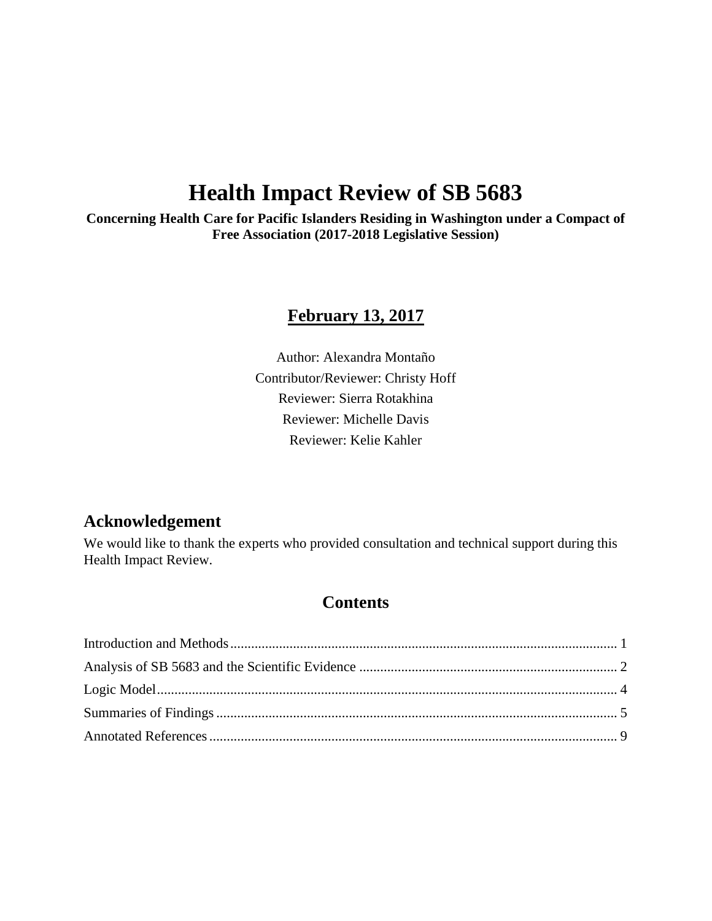# **Health Impact Review of SB 5683**

**Concerning Health Care for Pacific Islanders Residing in Washington under a Compact of Free Association (2017-2018 Legislative Session)**

# **February 13, 2017**

Author: Alexandra Montaño Contributor/Reviewer: Christy Hoff Reviewer: Sierra Rotakhina Reviewer: Michelle Davis Reviewer: Kelie Kahler

# **Acknowledgement**

We would like to thank the experts who provided consultation and technical support during this Health Impact Review.

# **Contents**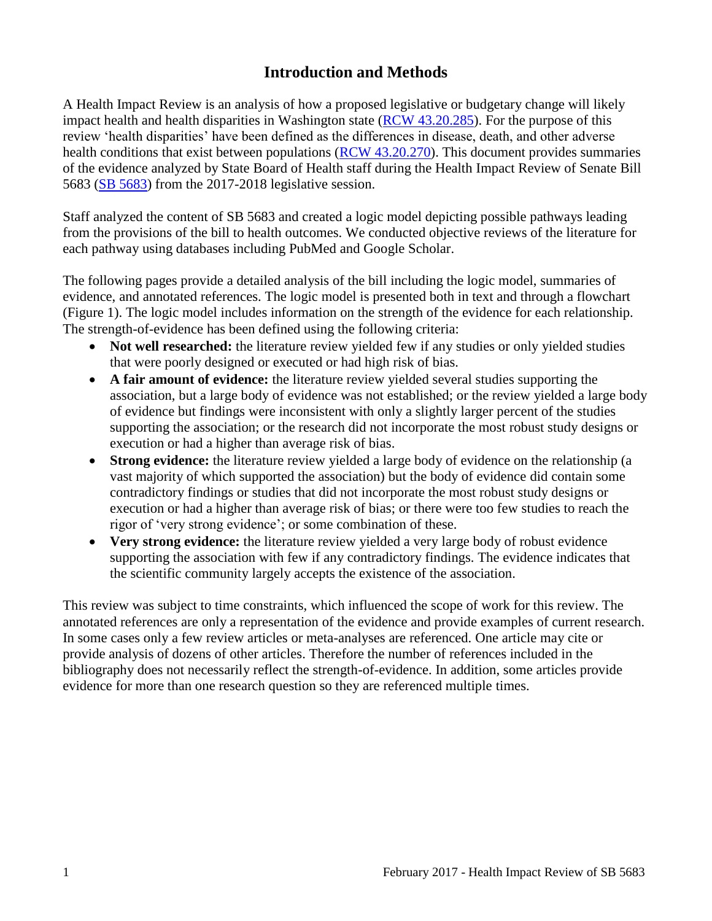# **Introduction and Methods**

<span id="page-2-0"></span>A Health Impact Review is an analysis of how a proposed legislative or budgetary change will likely impact health and health disparities in Washington state [\(RCW 43.20.285\)](http://apps.leg.wa.gov/rcw/default.aspx?cite=43.20.285). For the purpose of this review 'health disparities' have been defined as the differences in disease, death, and other adverse health conditions that exist between populations [\(RCW 43.20.270\)](http://apps.leg.wa.gov/rcw/default.aspx?cite=43.20.270). This document provides summaries of the evidence analyzed by State Board of Health staff during the Health Impact Review of Senate Bill 5683 [\(SB 5683\)](http://app.leg.wa.gov/billsummary?BillNumber=5683&Year=2017) from the 2017-2018 legislative session.

Staff analyzed the content of SB 5683 and created a logic model depicting possible pathways leading from the provisions of the bill to health outcomes. We conducted objective reviews of the literature for each pathway using databases including PubMed and Google Scholar.

The following pages provide a detailed analysis of the bill including the logic model, summaries of evidence, and annotated references. The logic model is presented both in text and through a flowchart (Figure 1). The logic model includes information on the strength of the evidence for each relationship. The strength-of-evidence has been defined using the following criteria:

- Not well researched: the literature review yielded few if any studies or only yielded studies that were poorly designed or executed or had high risk of bias.
- **A fair amount of evidence:** the literature review yielded several studies supporting the association, but a large body of evidence was not established; or the review yielded a large body of evidence but findings were inconsistent with only a slightly larger percent of the studies supporting the association; or the research did not incorporate the most robust study designs or execution or had a higher than average risk of bias.
- **Strong evidence:** the literature review yielded a large body of evidence on the relationship (a vast majority of which supported the association) but the body of evidence did contain some contradictory findings or studies that did not incorporate the most robust study designs or execution or had a higher than average risk of bias; or there were too few studies to reach the rigor of 'very strong evidence'; or some combination of these.
- **Very strong evidence:** the literature review yielded a very large body of robust evidence supporting the association with few if any contradictory findings. The evidence indicates that the scientific community largely accepts the existence of the association.

This review was subject to time constraints, which influenced the scope of work for this review. The annotated references are only a representation of the evidence and provide examples of current research. In some cases only a few review articles or meta-analyses are referenced. One article may cite or provide analysis of dozens of other articles. Therefore the number of references included in the bibliography does not necessarily reflect the strength-of-evidence. In addition, some articles provide evidence for more than one research question so they are referenced multiple times.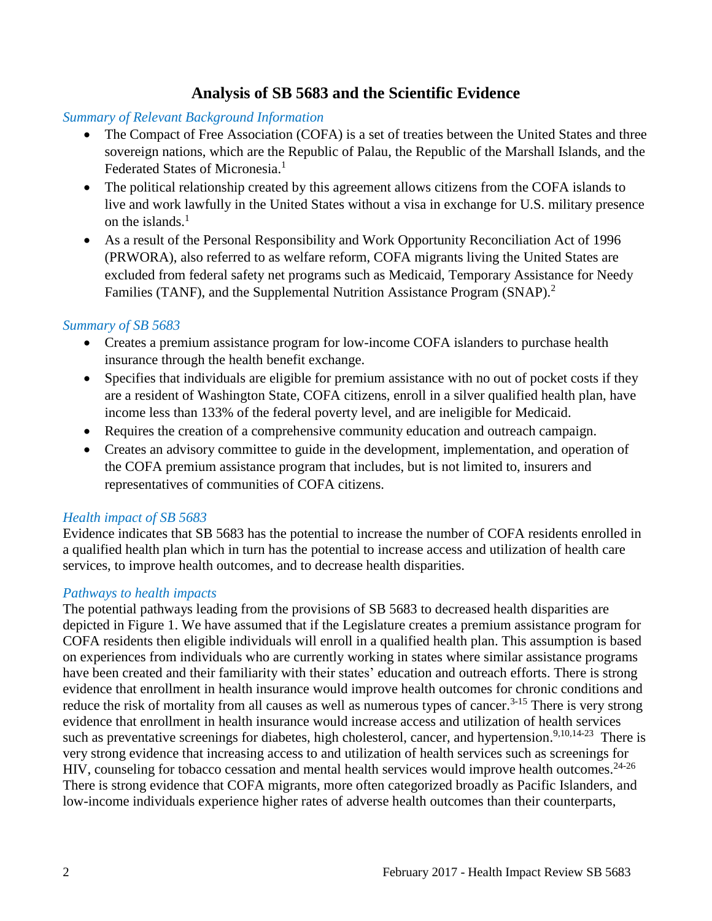# **Analysis of SB 5683 and the Scientific Evidence**

#### <span id="page-3-0"></span>*Summary of Relevant Background Information*

- The Compact of Free Association (COFA) is a set of treaties between the United States and three sovereign nations, which are the Republic of Palau, the Republic of the Marshall Islands, and the Federated States of Micronesia.<sup>[1](#page-10-1)</sup>
- The political relationship created by this agreement allows citizens from the COFA islands to live and work lawfully in the United States without a visa in exchange for U.S. military presence on the islands. [1](#page-10-1)
- As a result of the Personal Responsibility and Work Opportunity Reconciliation Act of 1996 (PRWORA), also referred to as welfare reform, COFA migrants living the United States are excluded from federal safety net programs such as Medicaid, Temporary Assistance for Needy Families (TANF), and the Supplemental Nutrition Assistance Program (SNAP).<sup>[2](#page-10-2)</sup>

#### *Summary of SB 5683*

- Creates a premium assistance program for low-income COFA islanders to purchase health insurance through the health benefit exchange.
- Specifies that individuals are eligible for premium assistance with no out of pocket costs if they are a resident of Washington State, COFA citizens, enroll in a silver qualified health plan, have income less than 133% of the federal poverty level, and are ineligible for Medicaid.
- Requires the creation of a comprehensive community education and outreach campaign.
- Creates an advisory committee to guide in the development, implementation, and operation of the COFA premium assistance program that includes, but is not limited to, insurers and representatives of communities of COFA citizens.

#### *Health impact of SB 5683*

Evidence indicates that SB 5683 has the potential to increase the number of COFA residents enrolled in a qualified health plan which in turn has the potential to increase access and utilization of health care services, to improve health outcomes, and to decrease health disparities.

#### *Pathways to health impacts*

The potential pathways leading from the provisions of SB 5683 to decreased health disparities are depicted in Figure 1. We have assumed that if the Legislature creates a premium assistance program for COFA residents then eligible individuals will enroll in a qualified health plan. This assumption is based on experiences from individuals who are currently working in states where similar assistance programs have been created and their familiarity with their states' education and outreach efforts. There is strong evidence that enrollment in health insurance would improve health outcomes for chronic conditions and reduce the risk of mortality from all causes as well as numerous types of cancer.<sup>[3-15](#page-10-3)</sup> There is very strong evidence that enrollment in health insurance would increase access and utilization of health services such as preventative screenings for diabetes, high cholesterol, cancer, and hypertension.<sup>[9,](#page-13-0)[10](#page-14-0)[,14-23](#page-15-0)</sup> There is very strong evidence that increasing access to and utilization of health services such as screenings for HIV, counseling for tobacco cessation and mental health services would improve health outcomes.<sup>[24-26](#page-20-0)</sup> There is strong evidence that COFA migrants, more often categorized broadly as Pacific Islanders, and low-income individuals experience higher rates of adverse health outcomes than their counterparts,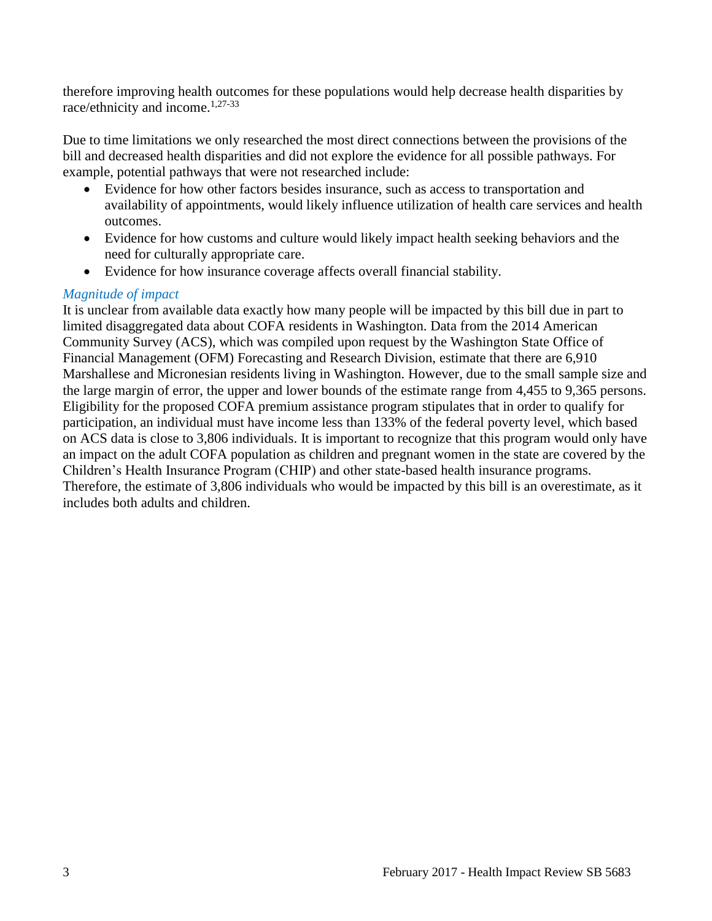therefore improving health outcomes for these populations would help decrease health disparities by race/ethnicity and income.<sup>[1](#page-10-1)[,27-33](#page-21-0)</sup>

Due to time limitations we only researched the most direct connections between the provisions of the bill and decreased health disparities and did not explore the evidence for all possible pathways. For example, potential pathways that were not researched include:

- Evidence for how other factors besides insurance, such as access to transportation and availability of appointments, would likely influence utilization of health care services and health outcomes.
- Evidence for how customs and culture would likely impact health seeking behaviors and the need for culturally appropriate care.
- Evidence for how insurance coverage affects overall financial stability.

#### *Magnitude of impact*

It is unclear from available data exactly how many people will be impacted by this bill due in part to limited disaggregated data about COFA residents in Washington. Data from the 2014 American Community Survey (ACS), which was compiled upon request by the Washington State Office of Financial Management (OFM) Forecasting and Research Division, estimate that there are 6,910 Marshallese and Micronesian residents living in Washington. However, due to the small sample size and the large margin of error, the upper and lower bounds of the estimate range from 4,455 to 9,365 persons. Eligibility for the proposed COFA premium assistance program stipulates that in order to qualify for participation, an individual must have income less than 133% of the federal poverty level, which based on ACS data is close to 3,806 individuals. It is important to recognize that this program would only have an impact on the adult COFA population as children and pregnant women in the state are covered by the Children's Health Insurance Program (CHIP) and other state-based health insurance programs. Therefore, the estimate of 3,806 individuals who would be impacted by this bill is an overestimate, as it includes both adults and children.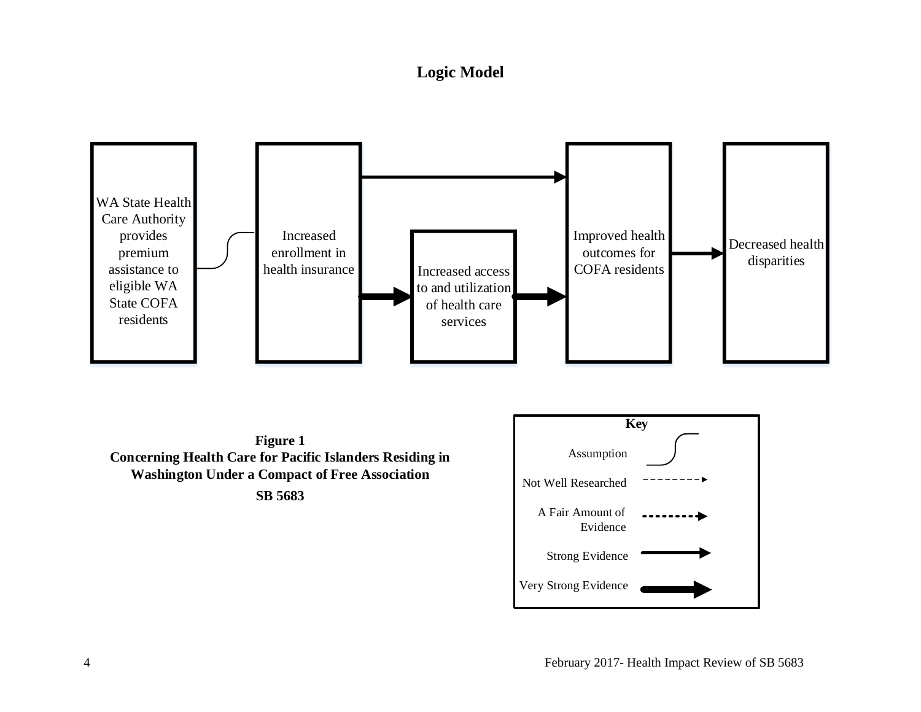# **Logic Model**

<span id="page-5-0"></span>

Very Strong Evidence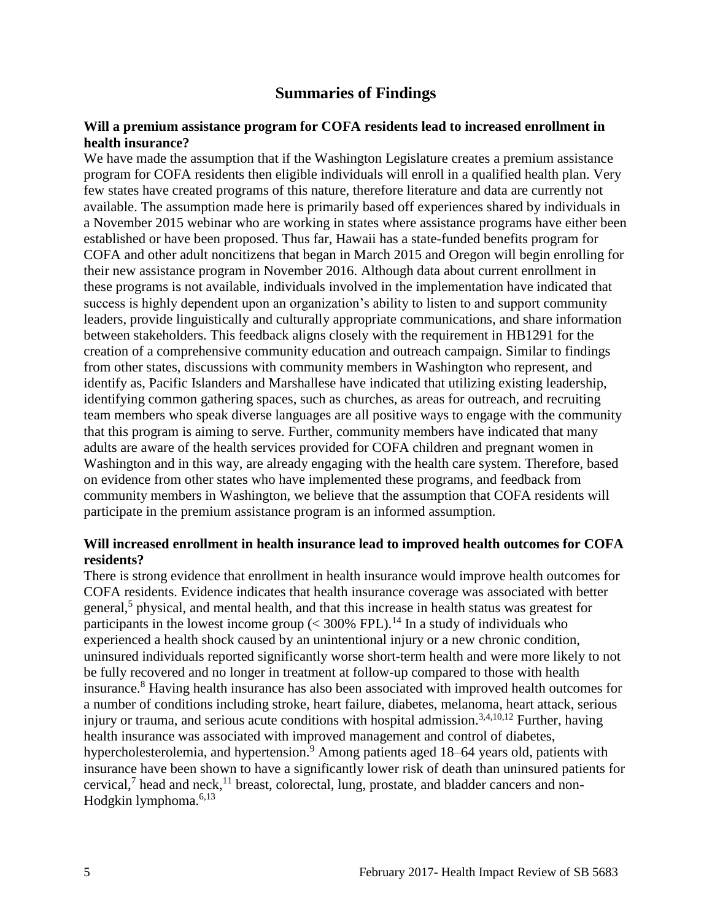## **Summaries of Findings**

#### <span id="page-6-0"></span>**Will a premium assistance program for COFA residents lead to increased enrollment in health insurance?**

We have made the assumption that if the Washington Legislature creates a premium assistance program for COFA residents then eligible individuals will enroll in a qualified health plan. Very few states have created programs of this nature, therefore literature and data are currently not available. The assumption made here is primarily based off experiences shared by individuals in a November 2015 webinar who are working in states where assistance programs have either been established or have been proposed. Thus far, Hawaii has a state-funded benefits program for COFA and other adult noncitizens that began in March 2015 and Oregon will begin enrolling for their new assistance program in November 2016. Although data about current enrollment in these programs is not available, individuals involved in the implementation have indicated that success is highly dependent upon an organization's ability to listen to and support community leaders, provide linguistically and culturally appropriate communications, and share information between stakeholders. This feedback aligns closely with the requirement in HB1291 for the creation of a comprehensive community education and outreach campaign. Similar to findings from other states, discussions with community members in Washington who represent, and identify as, Pacific Islanders and Marshallese have indicated that utilizing existing leadership, identifying common gathering spaces, such as churches, as areas for outreach, and recruiting team members who speak diverse languages are all positive ways to engage with the community that this program is aiming to serve. Further, community members have indicated that many adults are aware of the health services provided for COFA children and pregnant women in Washington and in this way, are already engaging with the health care system. Therefore, based on evidence from other states who have implemented these programs, and feedback from community members in Washington, we believe that the assumption that COFA residents will participate in the premium assistance program is an informed assumption.

#### **Will increased enrollment in health insurance lead to improved health outcomes for COFA residents?**

There is strong evidence that enrollment in health insurance would improve health outcomes for COFA residents. Evidence indicates that health insurance coverage was associated with better general,<sup>[5](#page-11-0)</sup> physical, and mental health, and that this increase in health status was greatest for participants in the lowest income group  $(< 300\%$  FPL).<sup>[14](#page-15-0)</sup> In a study of individuals who experienced a health shock caused by an unintentional injury or a new chronic condition, uninsured individuals reported significantly worse short-term health and were more likely to not be fully recovered and no longer in treatment at follow-up compared to those with health insurance.[8](#page-13-1) Having health insurance has also been associated with improved health outcomes for a number of conditions including stroke, heart failure, diabetes, melanoma, heart attack, serious injury or trauma, and serious acute conditions with hospital admission.<sup>[3,](#page-10-3)[4,](#page-11-1)[10,](#page-14-0)[12](#page-14-1)</sup> Further, having health insurance was associated with improved management and control of diabetes, hypercholesterolemia, and hypertension.<sup>[9](#page-13-0)</sup> Among patients aged 18–64 years old, patients with insurance have been shown to have a significantly lower risk of death than uninsured patients for cervical,<sup>[7](#page-12-0)</sup> head and neck,<sup>[11](#page-14-2)</sup> breast, colorectal, lung, prostate, and bladder cancers and non-Hodgkin lymphoma. $6,13$  $6,13$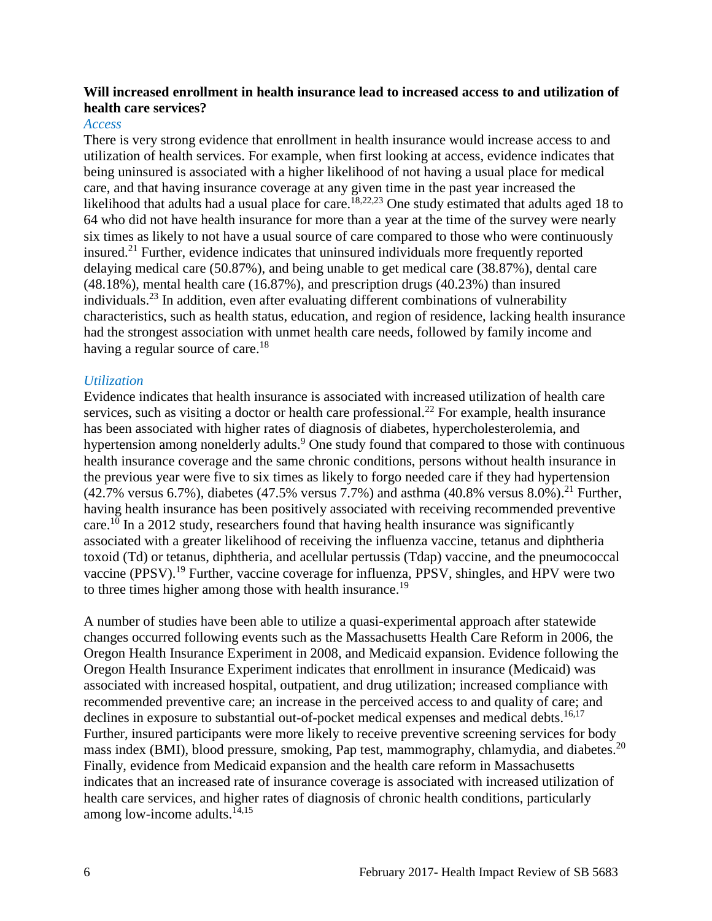#### **Will increased enrollment in health insurance lead to increased access to and utilization of health care services?**

#### *Access*

There is very strong evidence that enrollment in health insurance would increase access to and utilization of health services. For example, when first looking at access, evidence indicates that being uninsured is associated with a higher likelihood of not having a usual place for medical care, and that having insurance coverage at any given time in the past year increased the likelihood that adults had a usual place for care.<sup>[18,](#page-17-0)[22,](#page-19-0)[23](#page-20-1)</sup> One study estimated that adults aged 18 to 64 who did not have health insurance for more than a year at the time of the survey were nearly six times as likely to not have a usual source of care compared to those who were continuously insured. [21](#page-19-1) Further, evidence indicates that uninsured individuals more frequently reported delaying medical care (50.87%), and being unable to get medical care (38.87%), dental care (48.18%), mental health care (16.87%), and prescription drugs (40.23%) than insured individuals. [23](#page-20-1) In addition, even after evaluating different combinations of vulnerability characteristics, such as health status, education, and region of residence, lacking health insurance had the strongest association with unmet health care needs, followed by family income and having a regular source of care.<sup>[18](#page-17-0)</sup>

#### *Utilization*

Evidence indicates that health insurance is associated with increased utilization of health care services, such as visiting a doctor or health care professional.<sup>[22](#page-19-0)</sup> For example, health insurance has been associated with higher rates of diagnosis of diabetes, hypercholesterolemia, and hypertension among nonelderly adults[.](#page-13-0)<sup>9</sup> One study found that compared to those with continuous health insurance coverage and the same chronic conditions, persons without health insurance in the previous year were five to six times as likely to forgo needed care if they had hypertension  $(42.7\% \text{ versus } 6.7\%)$ , diabetes  $(47.5\% \text{ versus } 7.7\%)$  and asthma  $(40.8\% \text{ versus } 8.0\%)$ .<sup>[21](#page-19-1)</sup> Further, having health insurance has been positively associated with receiving recommended preventive care.<sup>[10](#page-14-0)</sup> In a 2012 study, researchers found that having health insurance was significantly associated with a greater likelihood of receiving the influenza vaccine, tetanus and diphtheria toxoid (Td) or tetanus, diphtheria, and acellular pertussis (Tdap) vaccine, and the pneumococcal vaccine (PPSV).<sup>[19](#page-18-0)</sup> Further, vaccine coverage for influenza, PPSV, shingles, and HPV were two to three times higher among those with health insurance.<sup>[19](#page-18-0)</sup>

A number of studies have been able to utilize a quasi-experimental approach after statewide changes occurred following events such as the Massachusetts Health Care Reform in 2006, the Oregon Health Insurance Experiment in 2008, and Medicaid expansion. Evidence following the Oregon Health Insurance Experiment indicates that enrollment in insurance (Medicaid) was associated with increased hospital, outpatient, and drug utilization; increased compliance with recommended preventive care; an increase in the perceived access to and quality of care; and declines in exposure to substantial out-of-pocket medical expenses and medical debts.<sup>[16](#page-16-0)[,17](#page-17-1)</sup> Further, insured participants were more likely to receive preventive screening services for body mass index (BMI), blood pressure, smoking, Pap test, mammography, chlamydia, and diabetes.<sup>[20](#page-18-1)</sup> Finally, evidence from Medicaid expansion and the health care reform in Massachusetts indicates that an increased rate of insurance coverage is associated with increased utilization of health care services, and higher rates of diagnosis of chronic health conditions, particularly among low-income adults.<sup>[14,](#page-15-0)[15](#page-16-1)</sup>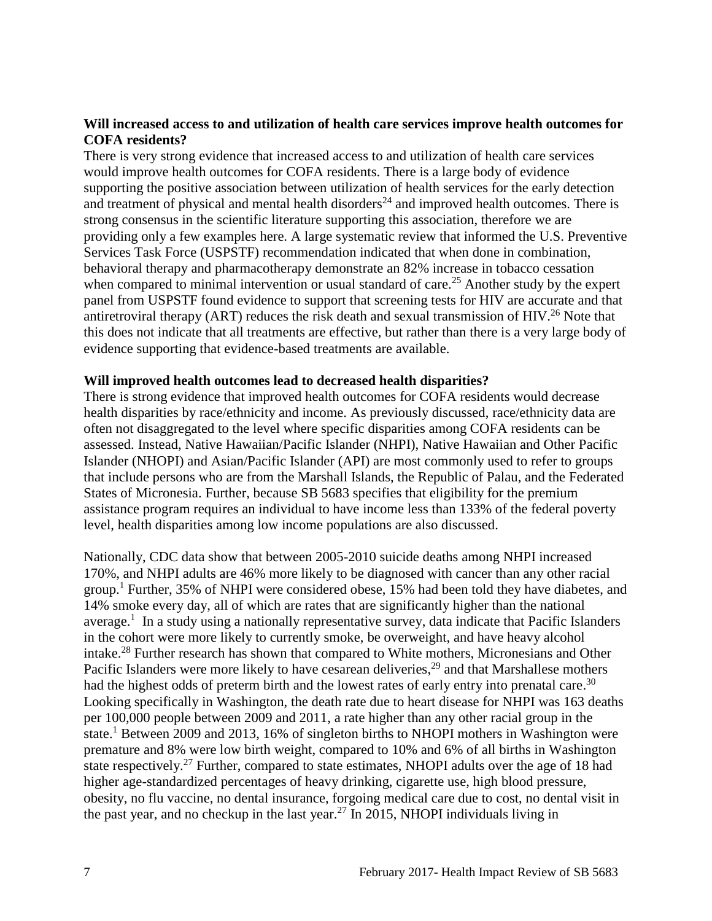#### **Will increased access to and utilization of health care services improve health outcomes for COFA residents?**

There is very strong evidence that increased access to and utilization of health care services would improve health outcomes for COFA residents. There is a large body of evidence supporting the positive association between utilization of health services for the early detection and treatment of physical and mental health disorders<sup>[24](#page-20-0)</sup> and improved health outcomes. There is strong consensus in the scientific literature supporting this association, therefore we are providing only a few examples here. A large systematic review that informed the U.S. Preventive Services Task Force (USPSTF) recommendation indicated that when done in combination, behavioral therapy and pharmacotherapy demonstrate an 82% increase in tobacco cessation when compared to minimal intervention or usual standard of care.<sup>[25](#page-20-2)</sup> Another study by the expert panel from USPSTF found evidence to support that screening tests for HIV are accurate and that antiretroviral therapy (ART) reduces the risk death and sexual transmission of HIV.<sup>[26](#page-21-1)</sup> Note that this does not indicate that all treatments are effective, but rather than there is a very large body of evidence supporting that evidence-based treatments are available.

#### **Will improved health outcomes lead to decreased health disparities?**

There is strong evidence that improved health outcomes for COFA residents would decrease health disparities by race/ethnicity and income. As previously discussed, race/ethnicity data are often not disaggregated to the level where specific disparities among COFA residents can be assessed. Instead, Native Hawaiian/Pacific Islander (NHPI), Native Hawaiian and Other Pacific Islander (NHOPI) and Asian/Pacific Islander (API) are most commonly used to refer to groups that include persons who are from the Marshall Islands, the Republic of Palau, and the Federated States of Micronesia. Further, because SB 5683 specifies that eligibility for the premium assistance program requires an individual to have income less than 133% of the federal poverty level, health disparities among low income populations are also discussed.

Nationally, CDC data show that between 2005-2010 suicide deaths among NHPI increased 170%, and NHPI adults are 46% more likely to be diagnosed with cancer than any other racial group.<sup>[1](#page-10-1)</sup> Further, 35% of NHPI were considered obese, 15% had been told they have diabetes, and 14% smoke every day, all of which are rates that are significantly higher than the national average.<sup>[1](#page-10-1)</sup> In a study using a nationally representative survey, data indicate that Pacific Islanders in the cohort were more likely to currently smoke, be overweight, and have heavy alcohol intake.<sup>[28](#page-21-2)</sup> Further research has shown that compared to White mothers, Micronesians and Other Pacific Islanders were more likely to have cesarean deliveries,<sup>[29](#page-22-0)</sup> and that Marshallese mothers had the highest odds of preterm birth and the lowest rates of early entry into prenatal care.<sup>[30](#page-22-1)</sup> Looking specifically in Washington, the death rate due to heart disease for NHPI was 163 deaths per 100,000 people between 2009 and 2011, a rate higher than any other racial group in the state.<sup>[1](#page-10-1)</sup> Between 2009 and 2013, 16% of singleton births to NHOPI mothers in Washington were premature and 8% were low birth weight, compared to 10% and 6% of all births in Washington state respectively.<sup>[27](#page-21-0)</sup> Further, compared to state estimates, NHOPI adults over the age of 18 had higher age-standardized percentages of heavy drinking, cigarette use, high blood pressure, obesity, no flu vaccine, no dental insurance, forgoing medical care due to cost, no dental visit in the past year, and no checkup in the last year.<sup>[27](#page-21-0)</sup> In 2015, NHOPI individuals living in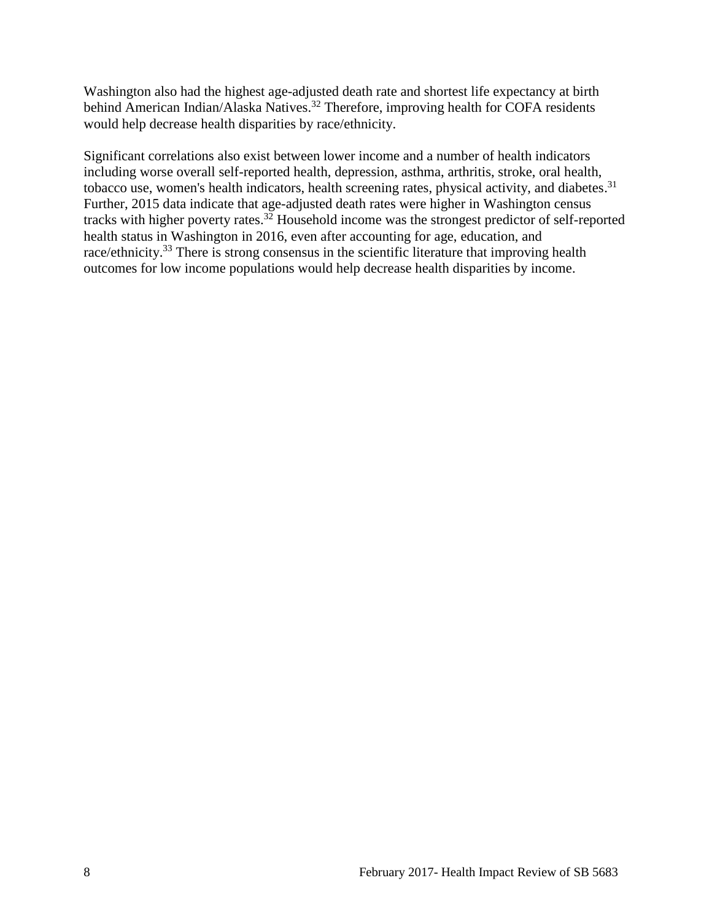Washington also had the highest age-adjusted death rate and shortest life expectancy at birth behind American Indian/Alaska Natives.<sup>[32](#page-23-0)</sup> Therefore, improving health for COFA residents would help decrease health disparities by race/ethnicity.

Significant correlations also exist between lower income and a number of health indicators including worse overall self-reported health, depression, asthma, arthritis, stroke, oral health, tobacco use, women's health indicators, health screening rates, physical activity, and diabetes.<sup>[31](#page-23-1)</sup> Further, 2015 data indicate that age-adjusted death rates were higher in Washington census tracks with higher poverty rates.<sup>[32](#page-23-0)</sup> Household income was the strongest predictor of self-reported health status in Washington in 2016, even after accounting for age, education, and race/ethnicity.<sup>[33](#page-23-2)</sup> There is strong consensus in the scientific literature that improving health outcomes for low income populations would help decrease health disparities by income.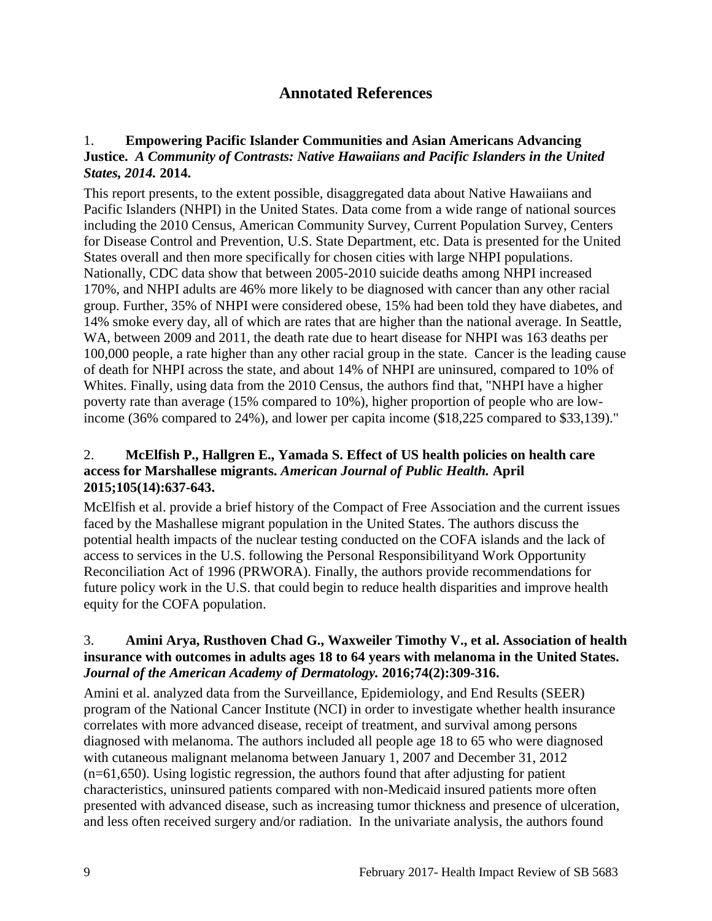## **Annotated References**

#### <span id="page-10-1"></span><span id="page-10-0"></span>1. **Empowering Pacific Islander Communities and Asian Americans Advancing Justice.** *A Community of Contrasts: Native Hawaiians and Pacific Islanders in the United States, 2014.* **2014.**

This report presents, to the extent possible, disaggregated data about Native Hawaiians and Pacific Islanders (NHPI) in the United States. Data come from a wide range of national sources including the 2010 Census, American Community Survey, Current Population Survey, Centers for Disease Control and Prevention, U.S. State Department, etc. Data is presented for the United States overall and then more specifically for chosen cities with large NHPI populations. Nationally, CDC data show that between 2005-2010 suicide deaths among NHPI increased 170%, and NHPI adults are 46% more likely to be diagnosed with cancer than any other racial group. Further, 35% of NHPI were considered obese, 15% had been told they have diabetes, and 14% smoke every day, all of which are rates that are higher than the national average. In Seattle, WA, between 2009 and 2011, the death rate due to heart disease for NHPI was 163 deaths per 100,000 people, a rate higher than any other racial group in the state. Cancer is the leading cause of death for NHPI across the state, and about 14% of NHPI are uninsured, compared to 10% of Whites. Finally, using data from the 2010 Census, the authors find that, "NHPI have a higher poverty rate than average (15% compared to 10%), higher proportion of people who are lowincome (36% compared to 24%), and lower per capita income (\$18,225 compared to \$33,139)."

#### <span id="page-10-2"></span>2. **McElfish P., Hallgren E., Yamada S. Effect of US health policies on health care access for Marshallese migrants.** *American Journal of Public Health.* **April 2015;105(14):637-643.**

McElfish et al. provide a brief history of the Compact of Free Association and the current issues faced by the Mashallese migrant population in the United States. The authors discuss the potential health impacts of the nuclear testing conducted on the COFA islands and the lack of access to services in the U.S. following the Personal Responsibilityand Work Opportunity Reconciliation Act of 1996 (PRWORA). Finally, the authors provide recommendations for future policy work in the U.S. that could begin to reduce health disparities and improve health equity for the COFA population.

#### <span id="page-10-3"></span>3. **Amini Arya, Rusthoven Chad G., Waxweiler Timothy V., et al. Association of health insurance with outcomes in adults ages 18 to 64 years with melanoma in the United States.**  *Journal of the American Academy of Dermatology.* **2016;74(2):309-316.**

Amini et al. analyzed data from the Surveillance, Epidemiology, and End Results (SEER) program of the National Cancer Institute (NCI) in order to investigate whether health insurance correlates with more advanced disease, receipt of treatment, and survival among persons diagnosed with melanoma. The authors included all people age 18 to 65 who were diagnosed with cutaneous malignant melanoma between January 1, 2007 and December 31, 2012 (n=61,650). Using logistic regression, the authors found that after adjusting for patient characteristics, uninsured patients compared with non-Medicaid insured patients more often presented with advanced disease, such as increasing tumor thickness and presence of ulceration, and less often received surgery and/or radiation. In the univariate analysis, the authors found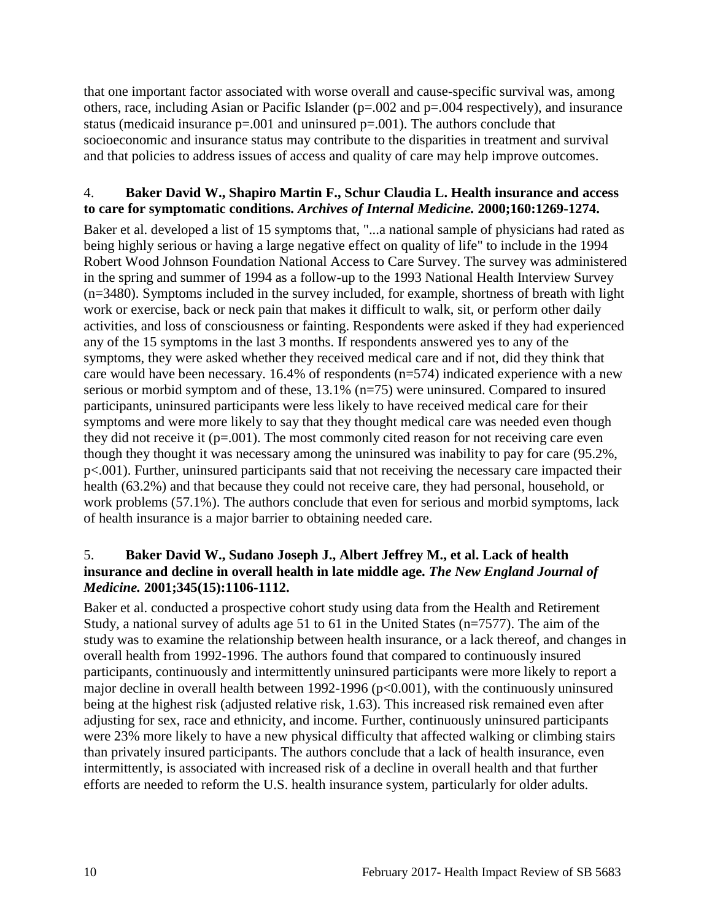that one important factor associated with worse overall and cause-specific survival was, among others, race, including Asian or Pacific Islander (p=.002 and p=.004 respectively), and insurance status (medicaid insurance  $p=.001$  and uninsured  $p=.001$ ). The authors conclude that socioeconomic and insurance status may contribute to the disparities in treatment and survival and that policies to address issues of access and quality of care may help improve outcomes.

#### <span id="page-11-1"></span>4. **Baker David W., Shapiro Martin F., Schur Claudia L. Health insurance and access to care for symptomatic conditions.** *Archives of Internal Medicine.* **2000;160:1269-1274.**

Baker et al. developed a list of 15 symptoms that, "...a national sample of physicians had rated as being highly serious or having a large negative effect on quality of life" to include in the 1994 Robert Wood Johnson Foundation National Access to Care Survey. The survey was administered in the spring and summer of 1994 as a follow-up to the 1993 National Health Interview Survey (n=3480). Symptoms included in the survey included, for example, shortness of breath with light work or exercise, back or neck pain that makes it difficult to walk, sit, or perform other daily activities, and loss of consciousness or fainting. Respondents were asked if they had experienced any of the 15 symptoms in the last 3 months. If respondents answered yes to any of the symptoms, they were asked whether they received medical care and if not, did they think that care would have been necessary. 16.4% of respondents (n=574) indicated experience with a new serious or morbid symptom and of these, 13.1% (n=75) were uninsured. Compared to insured participants, uninsured participants were less likely to have received medical care for their symptoms and were more likely to say that they thought medical care was needed even though they did not receive it  $(p=.001)$ . The most commonly cited reason for not receiving care even though they thought it was necessary among the uninsured was inability to pay for care (95.2%, p<.001). Further, uninsured participants said that not receiving the necessary care impacted their health (63.2%) and that because they could not receive care, they had personal, household, or work problems (57.1%). The authors conclude that even for serious and morbid symptoms, lack of health insurance is a major barrier to obtaining needed care.

#### <span id="page-11-0"></span>5. **Baker David W., Sudano Joseph J., Albert Jeffrey M., et al. Lack of health insurance and decline in overall health in late middle age.** *The New England Journal of Medicine.* **2001;345(15):1106-1112.**

Baker et al. conducted a prospective cohort study using data from the Health and Retirement Study, a national survey of adults age 51 to 61 in the United States (n=7577). The aim of the study was to examine the relationship between health insurance, or a lack thereof, and changes in overall health from 1992-1996. The authors found that compared to continuously insured participants, continuously and intermittently uninsured participants were more likely to report a major decline in overall health between 1992-1996 ( $p<0.001$ ), with the continuously uninsured being at the highest risk (adjusted relative risk, 1.63). This increased risk remained even after adjusting for sex, race and ethnicity, and income. Further, continuously uninsured participants were 23% more likely to have a new physical difficulty that affected walking or climbing stairs than privately insured participants. The authors conclude that a lack of health insurance, even intermittently, is associated with increased risk of a decline in overall health and that further efforts are needed to reform the U.S. health insurance system, particularly for older adults.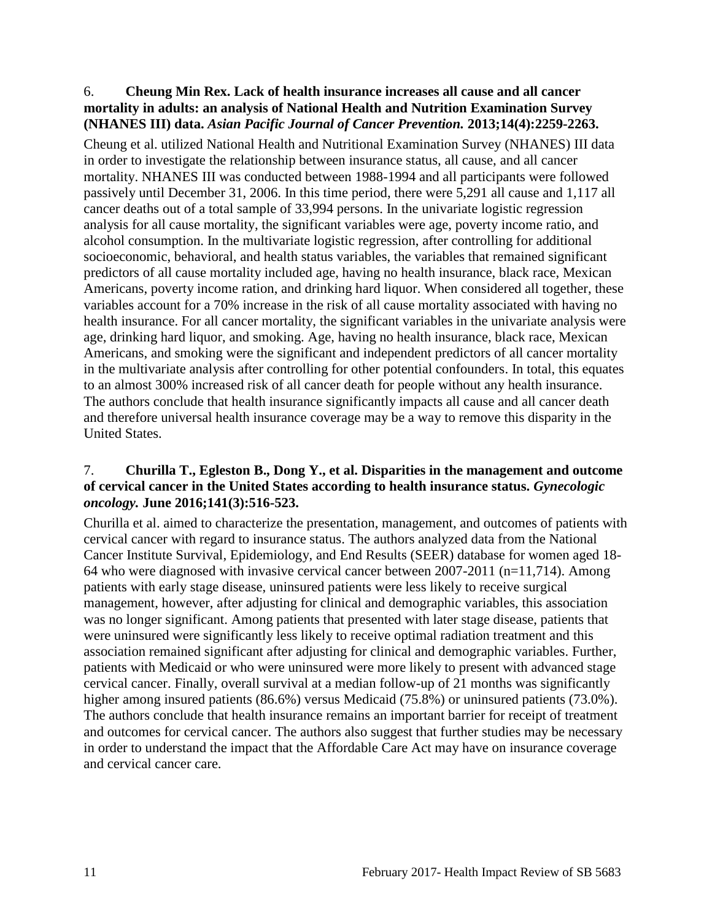#### <span id="page-12-1"></span>6. **Cheung Min Rex. Lack of health insurance increases all cause and all cancer mortality in adults: an analysis of National Health and Nutrition Examination Survey (NHANES III) data.** *Asian Pacific Journal of Cancer Prevention.* **2013;14(4):2259-2263.**

Cheung et al. utilized National Health and Nutritional Examination Survey (NHANES) III data in order to investigate the relationship between insurance status, all cause, and all cancer mortality. NHANES III was conducted between 1988-1994 and all participants were followed passively until December 31, 2006. In this time period, there were 5,291 all cause and 1,117 all cancer deaths out of a total sample of 33,994 persons. In the univariate logistic regression analysis for all cause mortality, the significant variables were age, poverty income ratio, and alcohol consumption. In the multivariate logistic regression, after controlling for additional socioeconomic, behavioral, and health status variables, the variables that remained significant predictors of all cause mortality included age, having no health insurance, black race, Mexican Americans, poverty income ration, and drinking hard liquor. When considered all together, these variables account for a 70% increase in the risk of all cause mortality associated with having no health insurance. For all cancer mortality, the significant variables in the univariate analysis were age, drinking hard liquor, and smoking. Age, having no health insurance, black race, Mexican Americans, and smoking were the significant and independent predictors of all cancer mortality in the multivariate analysis after controlling for other potential confounders. In total, this equates to an almost 300% increased risk of all cancer death for people without any health insurance. The authors conclude that health insurance significantly impacts all cause and all cancer death and therefore universal health insurance coverage may be a way to remove this disparity in the United States.

#### <span id="page-12-0"></span>7. **Churilla T., Egleston B., Dong Y., et al. Disparities in the management and outcome of cervical cancer in the United States according to health insurance status.** *Gynecologic oncology.* **June 2016;141(3):516-523.**

Churilla et al. aimed to characterize the presentation, management, and outcomes of patients with cervical cancer with regard to insurance status. The authors analyzed data from the National Cancer Institute Survival, Epidemiology, and End Results (SEER) database for women aged 18- 64 who were diagnosed with invasive cervical cancer between 2007-2011 (n=11,714). Among patients with early stage disease, uninsured patients were less likely to receive surgical management, however, after adjusting for clinical and demographic variables, this association was no longer significant. Among patients that presented with later stage disease, patients that were uninsured were significantly less likely to receive optimal radiation treatment and this association remained significant after adjusting for clinical and demographic variables. Further, patients with Medicaid or who were uninsured were more likely to present with advanced stage cervical cancer. Finally, overall survival at a median follow-up of 21 months was significantly higher among insured patients (86.6%) versus Medicaid (75.8%) or uninsured patients (73.0%). The authors conclude that health insurance remains an important barrier for receipt of treatment and outcomes for cervical cancer. The authors also suggest that further studies may be necessary in order to understand the impact that the Affordable Care Act may have on insurance coverage and cervical cancer care.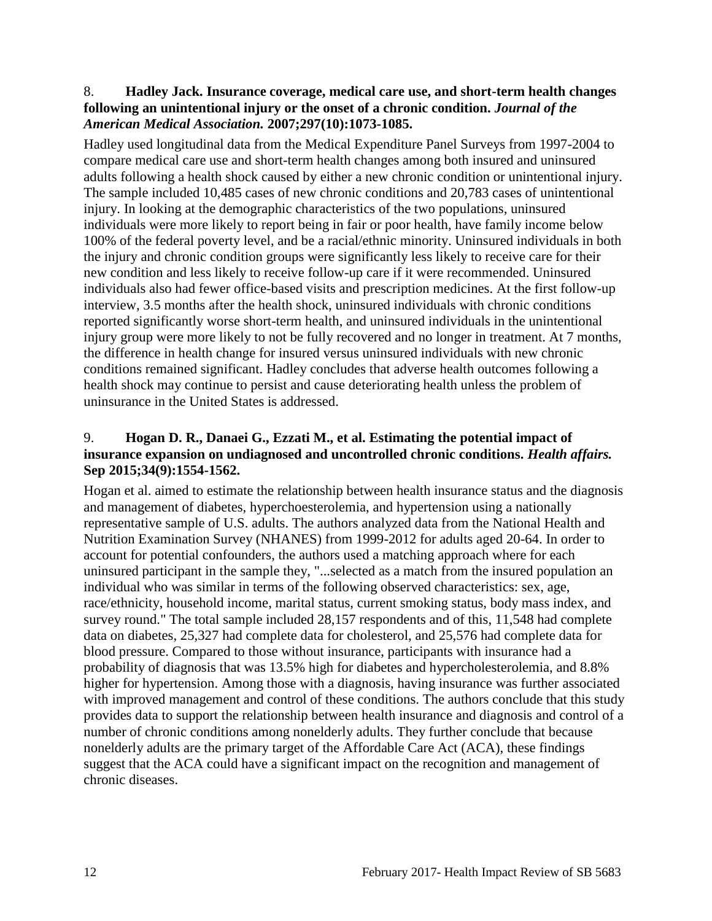#### <span id="page-13-1"></span>8. **Hadley Jack. Insurance coverage, medical care use, and short-term health changes following an unintentional injury or the onset of a chronic condition.** *Journal of the American Medical Association.* **2007;297(10):1073-1085.**

Hadley used longitudinal data from the Medical Expenditure Panel Surveys from 1997-2004 to compare medical care use and short-term health changes among both insured and uninsured adults following a health shock caused by either a new chronic condition or unintentional injury. The sample included 10,485 cases of new chronic conditions and 20,783 cases of unintentional injury. In looking at the demographic characteristics of the two populations, uninsured individuals were more likely to report being in fair or poor health, have family income below 100% of the federal poverty level, and be a racial/ethnic minority. Uninsured individuals in both the injury and chronic condition groups were significantly less likely to receive care for their new condition and less likely to receive follow-up care if it were recommended. Uninsured individuals also had fewer office-based visits and prescription medicines. At the first follow-up interview, 3.5 months after the health shock, uninsured individuals with chronic conditions reported significantly worse short-term health, and uninsured individuals in the unintentional injury group were more likely to not be fully recovered and no longer in treatment. At 7 months, the difference in health change for insured versus uninsured individuals with new chronic conditions remained significant. Hadley concludes that adverse health outcomes following a health shock may continue to persist and cause deteriorating health unless the problem of uninsurance in the United States is addressed.

#### <span id="page-13-0"></span>9. **Hogan D. R., Danaei G., Ezzati M., et al. Estimating the potential impact of insurance expansion on undiagnosed and uncontrolled chronic conditions.** *Health affairs.*  **Sep 2015;34(9):1554-1562.**

Hogan et al. aimed to estimate the relationship between health insurance status and the diagnosis and management of diabetes, hyperchoesterolemia, and hypertension using a nationally representative sample of U.S. adults. The authors analyzed data from the National Health and Nutrition Examination Survey (NHANES) from 1999-2012 for adults aged 20-64. In order to account for potential confounders, the authors used a matching approach where for each uninsured participant in the sample they, "...selected as a match from the insured population an individual who was similar in terms of the following observed characteristics: sex, age, race/ethnicity, household income, marital status, current smoking status, body mass index, and survey round." The total sample included 28,157 respondents and of this, 11,548 had complete data on diabetes, 25,327 had complete data for cholesterol, and 25,576 had complete data for blood pressure. Compared to those without insurance, participants with insurance had a probability of diagnosis that was 13.5% high for diabetes and hypercholesterolemia, and 8.8% higher for hypertension. Among those with a diagnosis, having insurance was further associated with improved management and control of these conditions. The authors conclude that this study provides data to support the relationship between health insurance and diagnosis and control of a number of chronic conditions among nonelderly adults. They further conclude that because nonelderly adults are the primary target of the Affordable Care Act (ACA), these findings suggest that the ACA could have a significant impact on the recognition and management of chronic diseases.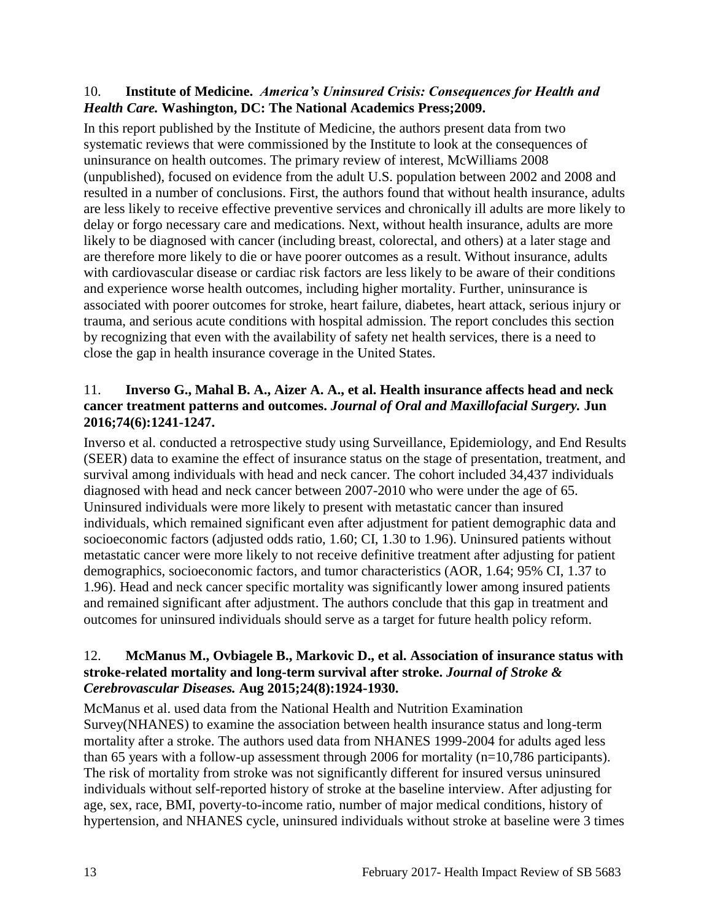#### <span id="page-14-0"></span>10. **Institute of Medicine.** *America's Uninsured Crisis: Consequences for Health and Health Care.* **Washington, DC: The National Academics Press;2009.**

In this report published by the Institute of Medicine, the authors present data from two systematic reviews that were commissioned by the Institute to look at the consequences of uninsurance on health outcomes. The primary review of interest, McWilliams 2008 (unpublished), focused on evidence from the adult U.S. population between 2002 and 2008 and resulted in a number of conclusions. First, the authors found that without health insurance, adults are less likely to receive effective preventive services and chronically ill adults are more likely to delay or forgo necessary care and medications. Next, without health insurance, adults are more likely to be diagnosed with cancer (including breast, colorectal, and others) at a later stage and are therefore more likely to die or have poorer outcomes as a result. Without insurance, adults with cardiovascular disease or cardiac risk factors are less likely to be aware of their conditions and experience worse health outcomes, including higher mortality. Further, uninsurance is associated with poorer outcomes for stroke, heart failure, diabetes, heart attack, serious injury or trauma, and serious acute conditions with hospital admission. The report concludes this section by recognizing that even with the availability of safety net health services, there is a need to close the gap in health insurance coverage in the United States.

#### <span id="page-14-2"></span>11. **Inverso G., Mahal B. A., Aizer A. A., et al. Health insurance affects head and neck cancer treatment patterns and outcomes.** *Journal of Oral and Maxillofacial Surgery.* **Jun 2016;74(6):1241-1247.**

Inverso et al. conducted a retrospective study using Surveillance, Epidemiology, and End Results (SEER) data to examine the effect of insurance status on the stage of presentation, treatment, and survival among individuals with head and neck cancer. The cohort included 34,437 individuals diagnosed with head and neck cancer between 2007-2010 who were under the age of 65. Uninsured individuals were more likely to present with metastatic cancer than insured individuals, which remained significant even after adjustment for patient demographic data and socioeconomic factors (adjusted odds ratio, 1.60; CI, 1.30 to 1.96). Uninsured patients without metastatic cancer were more likely to not receive definitive treatment after adjusting for patient demographics, socioeconomic factors, and tumor characteristics (AOR, 1.64; 95% CI, 1.37 to 1.96). Head and neck cancer specific mortality was significantly lower among insured patients and remained significant after adjustment. The authors conclude that this gap in treatment and outcomes for uninsured individuals should serve as a target for future health policy reform.

#### <span id="page-14-1"></span>12. **McManus M., Ovbiagele B., Markovic D., et al. Association of insurance status with stroke-related mortality and long-term survival after stroke.** *Journal of Stroke & Cerebrovascular Diseases.* **Aug 2015;24(8):1924-1930.**

McManus et al. used data from the National Health and Nutrition Examination Survey(NHANES) to examine the association between health insurance status and long-term mortality after a stroke. The authors used data from NHANES 1999-2004 for adults aged less than 65 years with a follow-up assessment through 2006 for mortality  $(n=10,786$  participants). The risk of mortality from stroke was not significantly different for insured versus uninsured individuals without self-reported history of stroke at the baseline interview. After adjusting for age, sex, race, BMI, poverty-to-income ratio, number of major medical conditions, history of hypertension, and NHANES cycle, uninsured individuals without stroke at baseline were 3 times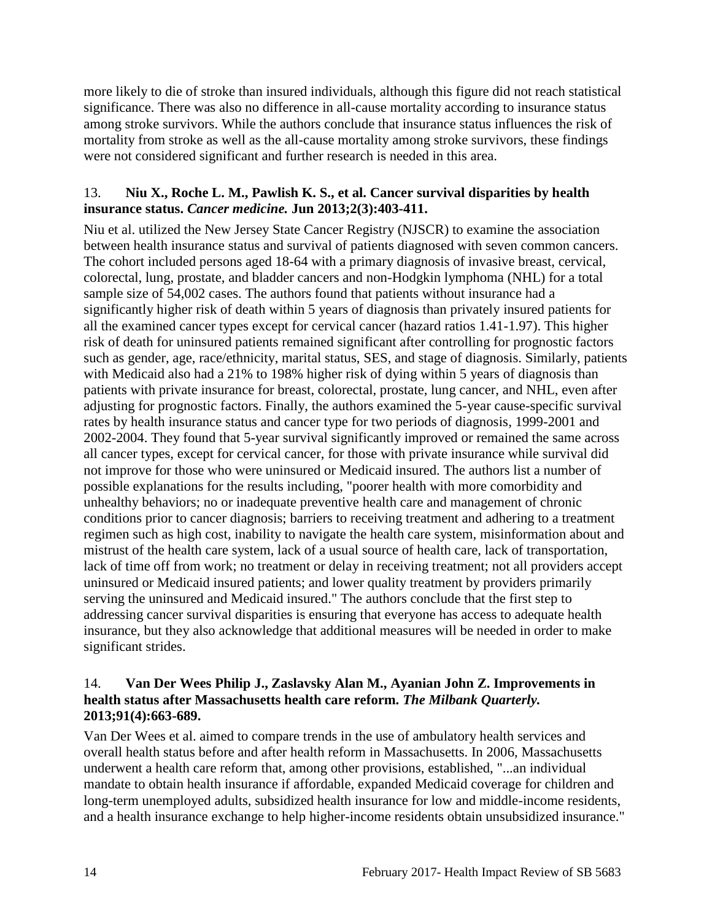more likely to die of stroke than insured individuals, although this figure did not reach statistical significance. There was also no difference in all-cause mortality according to insurance status among stroke survivors. While the authors conclude that insurance status influences the risk of mortality from stroke as well as the all-cause mortality among stroke survivors, these findings were not considered significant and further research is needed in this area.

#### <span id="page-15-1"></span>13. **Niu X., Roche L. M., Pawlish K. S., et al. Cancer survival disparities by health insurance status.** *Cancer medicine.* **Jun 2013;2(3):403-411.**

Niu et al. utilized the New Jersey State Cancer Registry (NJSCR) to examine the association between health insurance status and survival of patients diagnosed with seven common cancers. The cohort included persons aged 18-64 with a primary diagnosis of invasive breast, cervical, colorectal, lung, prostate, and bladder cancers and non-Hodgkin lymphoma (NHL) for a total sample size of 54,002 cases. The authors found that patients without insurance had a significantly higher risk of death within 5 years of diagnosis than privately insured patients for all the examined cancer types except for cervical cancer (hazard ratios 1.41-1.97). This higher risk of death for uninsured patients remained significant after controlling for prognostic factors such as gender, age, race/ethnicity, marital status, SES, and stage of diagnosis. Similarly, patients with Medicaid also had a 21% to 198% higher risk of dying within 5 years of diagnosis than patients with private insurance for breast, colorectal, prostate, lung cancer, and NHL, even after adjusting for prognostic factors. Finally, the authors examined the 5-year cause-specific survival rates by health insurance status and cancer type for two periods of diagnosis, 1999-2001 and 2002-2004. They found that 5-year survival significantly improved or remained the same across all cancer types, except for cervical cancer, for those with private insurance while survival did not improve for those who were uninsured or Medicaid insured. The authors list a number of possible explanations for the results including, "poorer health with more comorbidity and unhealthy behaviors; no or inadequate preventive health care and management of chronic conditions prior to cancer diagnosis; barriers to receiving treatment and adhering to a treatment regimen such as high cost, inability to navigate the health care system, misinformation about and mistrust of the health care system, lack of a usual source of health care, lack of transportation, lack of time off from work; no treatment or delay in receiving treatment; not all providers accept uninsured or Medicaid insured patients; and lower quality treatment by providers primarily serving the uninsured and Medicaid insured." The authors conclude that the first step to addressing cancer survival disparities is ensuring that everyone has access to adequate health insurance, but they also acknowledge that additional measures will be needed in order to make significant strides.

#### <span id="page-15-0"></span>14. **Van Der Wees Philip J., Zaslavsky Alan M., Ayanian John Z. Improvements in health status after Massachusetts health care reform.** *The Milbank Quarterly.*  **2013;91(4):663-689.**

Van Der Wees et al. aimed to compare trends in the use of ambulatory health services and overall health status before and after health reform in Massachusetts. In 2006, Massachusetts underwent a health care reform that, among other provisions, established, "...an individual mandate to obtain health insurance if affordable, expanded Medicaid coverage for children and long-term unemployed adults, subsidized health insurance for low and middle-income residents, and a health insurance exchange to help higher-income residents obtain unsubsidized insurance."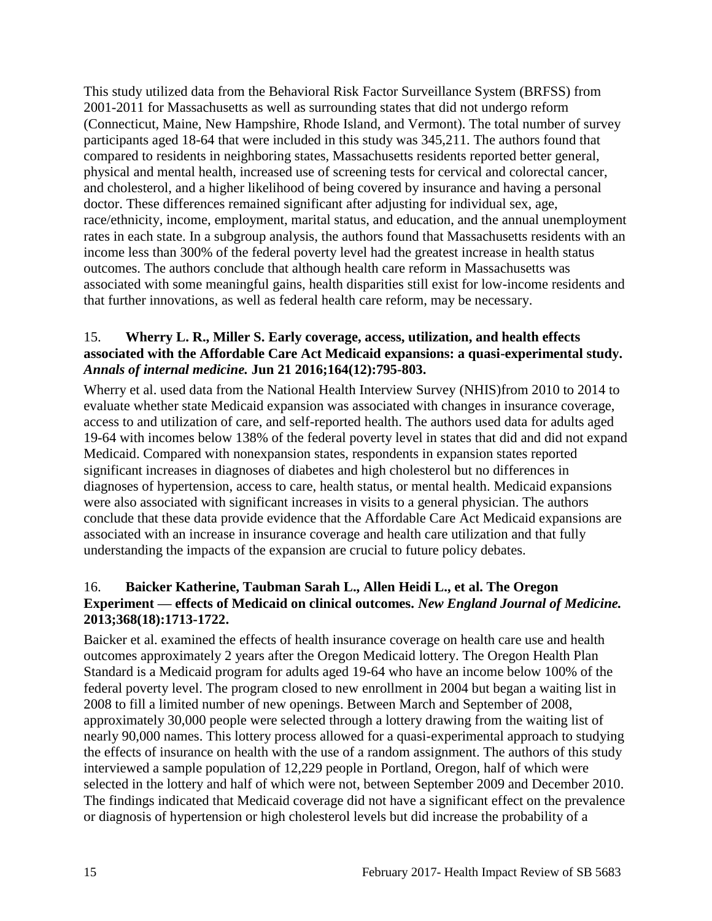This study utilized data from the Behavioral Risk Factor Surveillance System (BRFSS) from 2001-2011 for Massachusetts as well as surrounding states that did not undergo reform (Connecticut, Maine, New Hampshire, Rhode Island, and Vermont). The total number of survey participants aged 18-64 that were included in this study was 345,211. The authors found that compared to residents in neighboring states, Massachusetts residents reported better general, physical and mental health, increased use of screening tests for cervical and colorectal cancer, and cholesterol, and a higher likelihood of being covered by insurance and having a personal doctor. These differences remained significant after adjusting for individual sex, age, race/ethnicity, income, employment, marital status, and education, and the annual unemployment rates in each state. In a subgroup analysis, the authors found that Massachusetts residents with an income less than 300% of the federal poverty level had the greatest increase in health status outcomes. The authors conclude that although health care reform in Massachusetts was associated with some meaningful gains, health disparities still exist for low-income residents and that further innovations, as well as federal health care reform, may be necessary.

#### <span id="page-16-1"></span>15. **Wherry L. R., Miller S. Early coverage, access, utilization, and health effects associated with the Affordable Care Act Medicaid expansions: a quasi-experimental study.**  *Annals of internal medicine.* **Jun 21 2016;164(12):795-803.**

Wherry et al. used data from the National Health Interview Survey (NHIS)from 2010 to 2014 to evaluate whether state Medicaid expansion was associated with changes in insurance coverage, access to and utilization of care, and self-reported health. The authors used data for adults aged 19-64 with incomes below 138% of the federal poverty level in states that did and did not expand Medicaid. Compared with nonexpansion states, respondents in expansion states reported significant increases in diagnoses of diabetes and high cholesterol but no differences in diagnoses of hypertension, access to care, health status, or mental health. Medicaid expansions were also associated with significant increases in visits to a general physician. The authors conclude that these data provide evidence that the Affordable Care Act Medicaid expansions are associated with an increase in insurance coverage and health care utilization and that fully understanding the impacts of the expansion are crucial to future policy debates.

#### <span id="page-16-0"></span>16. **Baicker Katherine, Taubman Sarah L., Allen Heidi L., et al. The Oregon Experiment — effects of Medicaid on clinical outcomes.** *New England Journal of Medicine.*  **2013;368(18):1713-1722.**

Baicker et al. examined the effects of health insurance coverage on health care use and health outcomes approximately 2 years after the Oregon Medicaid lottery. The Oregon Health Plan Standard is a Medicaid program for adults aged 19-64 who have an income below 100% of the federal poverty level. The program closed to new enrollment in 2004 but began a waiting list in 2008 to fill a limited number of new openings. Between March and September of 2008, approximately 30,000 people were selected through a lottery drawing from the waiting list of nearly 90,000 names. This lottery process allowed for a quasi-experimental approach to studying the effects of insurance on health with the use of a random assignment. The authors of this study interviewed a sample population of 12,229 people in Portland, Oregon, half of which were selected in the lottery and half of which were not, between September 2009 and December 2010. The findings indicated that Medicaid coverage did not have a significant effect on the prevalence or diagnosis of hypertension or high cholesterol levels but did increase the probability of a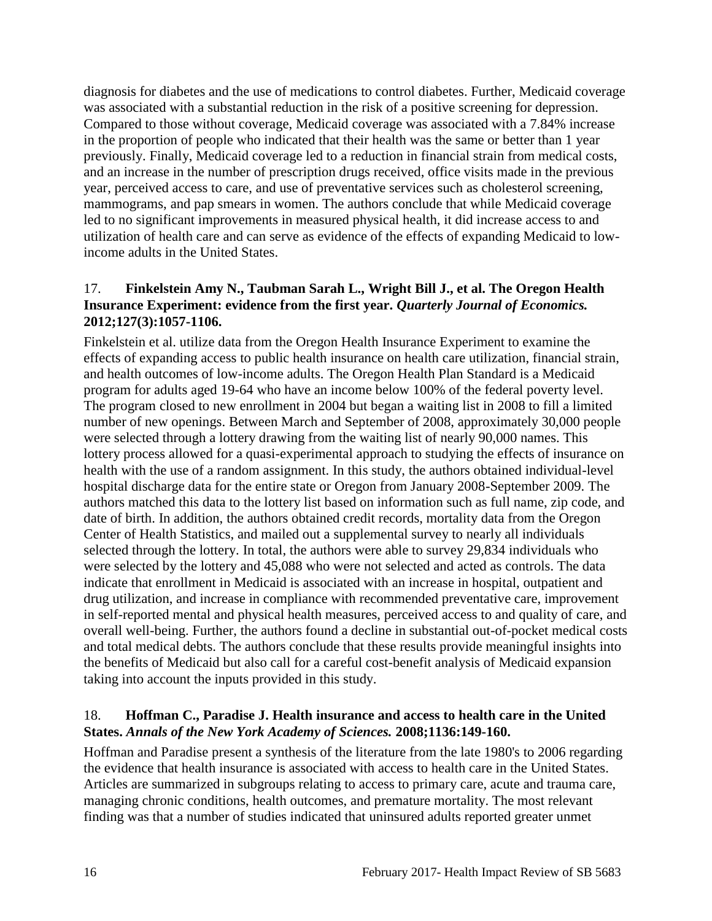diagnosis for diabetes and the use of medications to control diabetes. Further, Medicaid coverage was associated with a substantial reduction in the risk of a positive screening for depression. Compared to those without coverage, Medicaid coverage was associated with a 7.84% increase in the proportion of people who indicated that their health was the same or better than 1 year previously. Finally, Medicaid coverage led to a reduction in financial strain from medical costs, and an increase in the number of prescription drugs received, office visits made in the previous year, perceived access to care, and use of preventative services such as cholesterol screening, mammograms, and pap smears in women. The authors conclude that while Medicaid coverage led to no significant improvements in measured physical health, it did increase access to and utilization of health care and can serve as evidence of the effects of expanding Medicaid to lowincome adults in the United States.

#### <span id="page-17-1"></span>17. **Finkelstein Amy N., Taubman Sarah L., Wright Bill J., et al. The Oregon Health Insurance Experiment: evidence from the first year.** *Quarterly Journal of Economics.*  **2012;127(3):1057-1106.**

Finkelstein et al. utilize data from the Oregon Health Insurance Experiment to examine the effects of expanding access to public health insurance on health care utilization, financial strain, and health outcomes of low-income adults. The Oregon Health Plan Standard is a Medicaid program for adults aged 19-64 who have an income below 100% of the federal poverty level. The program closed to new enrollment in 2004 but began a waiting list in 2008 to fill a limited number of new openings. Between March and September of 2008, approximately 30,000 people were selected through a lottery drawing from the waiting list of nearly 90,000 names. This lottery process allowed for a quasi-experimental approach to studying the effects of insurance on health with the use of a random assignment. In this study, the authors obtained individual-level hospital discharge data for the entire state or Oregon from January 2008-September 2009. The authors matched this data to the lottery list based on information such as full name, zip code, and date of birth. In addition, the authors obtained credit records, mortality data from the Oregon Center of Health Statistics, and mailed out a supplemental survey to nearly all individuals selected through the lottery. In total, the authors were able to survey 29,834 individuals who were selected by the lottery and 45,088 who were not selected and acted as controls. The data indicate that enrollment in Medicaid is associated with an increase in hospital, outpatient and drug utilization, and increase in compliance with recommended preventative care, improvement in self-reported mental and physical health measures, perceived access to and quality of care, and overall well-being. Further, the authors found a decline in substantial out-of-pocket medical costs and total medical debts. The authors conclude that these results provide meaningful insights into the benefits of Medicaid but also call for a careful cost-benefit analysis of Medicaid expansion taking into account the inputs provided in this study.

#### <span id="page-17-0"></span>18. **Hoffman C., Paradise J. Health insurance and access to health care in the United States.** *Annals of the New York Academy of Sciences.* **2008;1136:149-160.**

Hoffman and Paradise present a synthesis of the literature from the late 1980's to 2006 regarding the evidence that health insurance is associated with access to health care in the United States. Articles are summarized in subgroups relating to access to primary care, acute and trauma care, managing chronic conditions, health outcomes, and premature mortality. The most relevant finding was that a number of studies indicated that uninsured adults reported greater unmet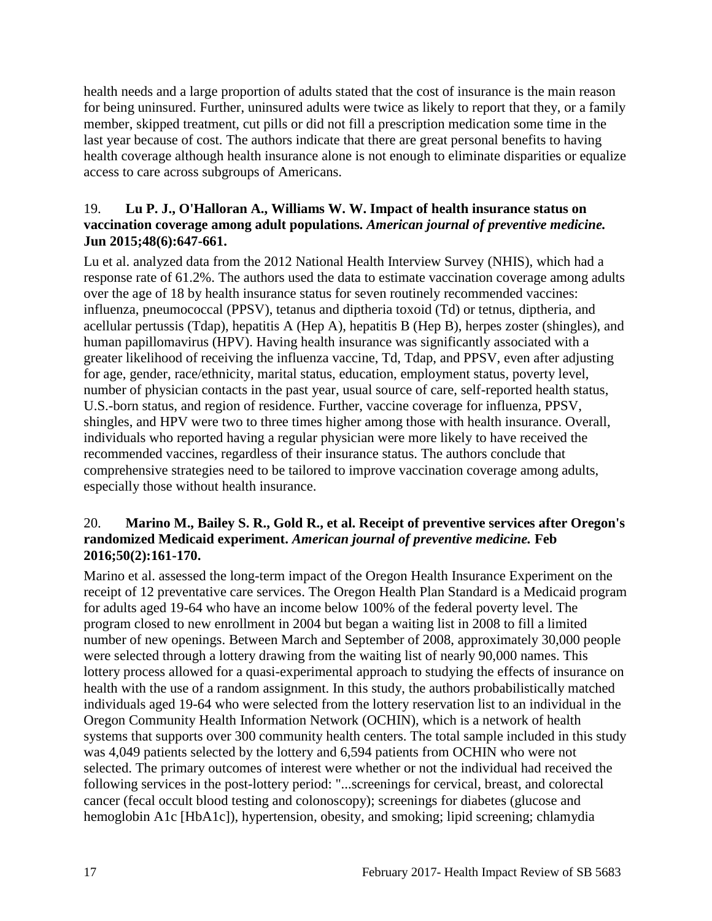health needs and a large proportion of adults stated that the cost of insurance is the main reason for being uninsured. Further, uninsured adults were twice as likely to report that they, or a family member, skipped treatment, cut pills or did not fill a prescription medication some time in the last year because of cost. The authors indicate that there are great personal benefits to having health coverage although health insurance alone is not enough to eliminate disparities or equalize access to care across subgroups of Americans.

#### <span id="page-18-0"></span>19. **Lu P. J., O'Halloran A., Williams W. W. Impact of health insurance status on vaccination coverage among adult populations.** *American journal of preventive medicine.*  **Jun 2015;48(6):647-661.**

Lu et al. analyzed data from the 2012 National Health Interview Survey (NHIS), which had a response rate of 61.2%. The authors used the data to estimate vaccination coverage among adults over the age of 18 by health insurance status for seven routinely recommended vaccines: influenza, pneumococcal (PPSV), tetanus and diptheria toxoid (Td) or tetnus, diptheria, and acellular pertussis (Tdap), hepatitis A (Hep A), hepatitis B (Hep B), herpes zoster (shingles), and human papillomavirus (HPV). Having health insurance was significantly associated with a greater likelihood of receiving the influenza vaccine, Td, Tdap, and PPSV, even after adjusting for age, gender, race/ethnicity, marital status, education, employment status, poverty level, number of physician contacts in the past year, usual source of care, self-reported health status, U.S.-born status, and region of residence. Further, vaccine coverage for influenza, PPSV, shingles, and HPV were two to three times higher among those with health insurance. Overall, individuals who reported having a regular physician were more likely to have received the recommended vaccines, regardless of their insurance status. The authors conclude that comprehensive strategies need to be tailored to improve vaccination coverage among adults, especially those without health insurance.

#### <span id="page-18-1"></span>20. **Marino M., Bailey S. R., Gold R., et al. Receipt of preventive services after Oregon's randomized Medicaid experiment.** *American journal of preventive medicine.* **Feb 2016;50(2):161-170.**

Marino et al. assessed the long-term impact of the Oregon Health Insurance Experiment on the receipt of 12 preventative care services. The Oregon Health Plan Standard is a Medicaid program for adults aged 19-64 who have an income below 100% of the federal poverty level. The program closed to new enrollment in 2004 but began a waiting list in 2008 to fill a limited number of new openings. Between March and September of 2008, approximately 30,000 people were selected through a lottery drawing from the waiting list of nearly 90,000 names. This lottery process allowed for a quasi-experimental approach to studying the effects of insurance on health with the use of a random assignment. In this study, the authors probabilistically matched individuals aged 19-64 who were selected from the lottery reservation list to an individual in the Oregon Community Health Information Network (OCHIN), which is a network of health systems that supports over 300 community health centers. The total sample included in this study was 4,049 patients selected by the lottery and 6,594 patients from OCHIN who were not selected. The primary outcomes of interest were whether or not the individual had received the following services in the post-lottery period: "...screenings for cervical, breast, and colorectal cancer (fecal occult blood testing and colonoscopy); screenings for diabetes (glucose and hemoglobin A1c [HbA1c]), hypertension, obesity, and smoking; lipid screening; chlamydia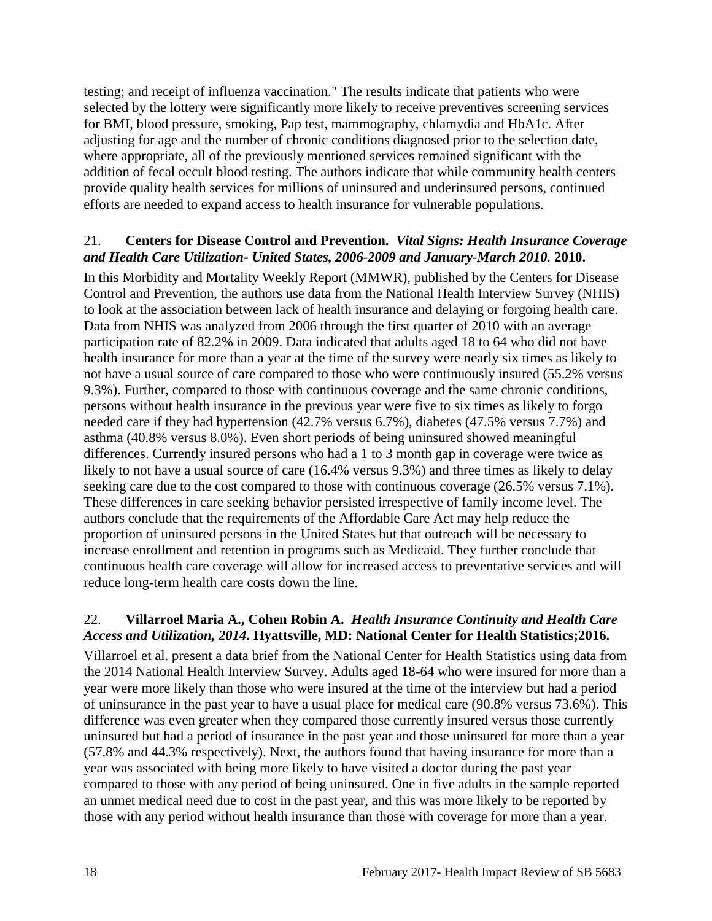testing; and receipt of influenza vaccination." The results indicate that patients who were selected by the lottery were significantly more likely to receive preventives screening services for BMI, blood pressure, smoking, Pap test, mammography, chlamydia and HbA1c. After adjusting for age and the number of chronic conditions diagnosed prior to the selection date, where appropriate, all of the previously mentioned services remained significant with the addition of fecal occult blood testing. The authors indicate that while community health centers provide quality health services for millions of uninsured and underinsured persons, continued efforts are needed to expand access to health insurance for vulnerable populations.

#### <span id="page-19-1"></span>21. **Centers for Disease Control and Prevention.** *Vital Signs: Health Insurance Coverage and Health Care Utilization- United States, 2006-2009 and January-March 2010.* **2010.**

In this Morbidity and Mortality Weekly Report (MMWR), published by the Centers for Disease Control and Prevention, the authors use data from the National Health Interview Survey (NHIS) to look at the association between lack of health insurance and delaying or forgoing health care. Data from NHIS was analyzed from 2006 through the first quarter of 2010 with an average participation rate of 82.2% in 2009. Data indicated that adults aged 18 to 64 who did not have health insurance for more than a year at the time of the survey were nearly six times as likely to not have a usual source of care compared to those who were continuously insured (55.2% versus 9.3%). Further, compared to those with continuous coverage and the same chronic conditions, persons without health insurance in the previous year were five to six times as likely to forgo needed care if they had hypertension (42.7% versus 6.7%), diabetes (47.5% versus 7.7%) and asthma (40.8% versus 8.0%). Even short periods of being uninsured showed meaningful differences. Currently insured persons who had a 1 to 3 month gap in coverage were twice as likely to not have a usual source of care (16.4% versus 9.3%) and three times as likely to delay seeking care due to the cost compared to those with continuous coverage (26.5% versus 7.1%). These differences in care seeking behavior persisted irrespective of family income level. The authors conclude that the requirements of the Affordable Care Act may help reduce the proportion of uninsured persons in the United States but that outreach will be necessary to increase enrollment and retention in programs such as Medicaid. They further conclude that continuous health care coverage will allow for increased access to preventative services and will reduce long-term health care costs down the line.

#### <span id="page-19-0"></span>22. **Villarroel Maria A., Cohen Robin A.** *Health Insurance Continuity and Health Care Access and Utilization, 2014.* **Hyattsville, MD: National Center for Health Statistics;2016.**

Villarroel et al. present a data brief from the National Center for Health Statistics using data from the 2014 National Health Interview Survey. Adults aged 18-64 who were insured for more than a year were more likely than those who were insured at the time of the interview but had a period of uninsurance in the past year to have a usual place for medical care (90.8% versus 73.6%). This difference was even greater when they compared those currently insured versus those currently uninsured but had a period of insurance in the past year and those uninsured for more than a year (57.8% and 44.3% respectively). Next, the authors found that having insurance for more than a year was associated with being more likely to have visited a doctor during the past year compared to those with any period of being uninsured. One in five adults in the sample reported an unmet medical need due to cost in the past year, and this was more likely to be reported by those with any period without health insurance than those with coverage for more than a year.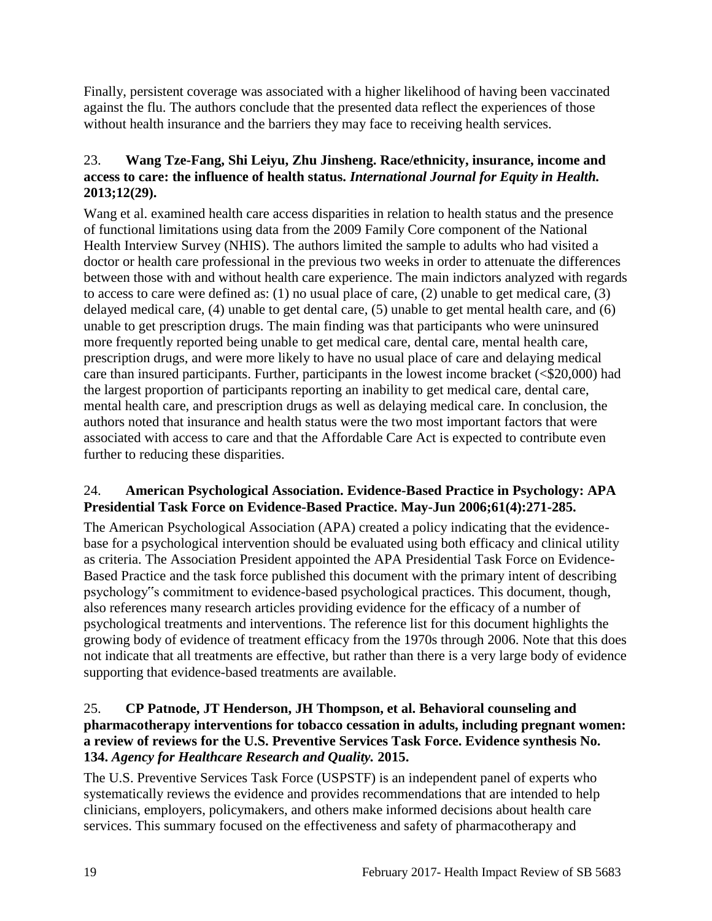Finally, persistent coverage was associated with a higher likelihood of having been vaccinated against the flu. The authors conclude that the presented data reflect the experiences of those without health insurance and the barriers they may face to receiving health services.

## <span id="page-20-1"></span>23. **Wang Tze-Fang, Shi Leiyu, Zhu Jinsheng. Race/ethnicity, insurance, income and access to care: the influence of health status.** *International Journal for Equity in Health.*  **2013;12(29).**

Wang et al. examined health care access disparities in relation to health status and the presence of functional limitations using data from the 2009 Family Core component of the National Health Interview Survey (NHIS). The authors limited the sample to adults who had visited a doctor or health care professional in the previous two weeks in order to attenuate the differences between those with and without health care experience. The main indictors analyzed with regards to access to care were defined as: (1) no usual place of care, (2) unable to get medical care, (3) delayed medical care, (4) unable to get dental care, (5) unable to get mental health care, and (6) unable to get prescription drugs. The main finding was that participants who were uninsured more frequently reported being unable to get medical care, dental care, mental health care, prescription drugs, and were more likely to have no usual place of care and delaying medical care than insured participants. Further, participants in the lowest income bracket (<\$20,000) had the largest proportion of participants reporting an inability to get medical care, dental care, mental health care, and prescription drugs as well as delaying medical care. In conclusion, the authors noted that insurance and health status were the two most important factors that were associated with access to care and that the Affordable Care Act is expected to contribute even further to reducing these disparities.

#### <span id="page-20-0"></span>24. **American Psychological Association. Evidence-Based Practice in Psychology: APA Presidential Task Force on Evidence-Based Practice. May-Jun 2006;61(4):271-285.**

The American Psychological Association (APA) created a policy indicating that the evidencebase for a psychological intervention should be evaluated using both efficacy and clinical utility as criteria. The Association President appointed the APA Presidential Task Force on Evidence-Based Practice and the task force published this document with the primary intent of describing psychology"s commitment to evidence-based psychological practices. This document, though, also references many research articles providing evidence for the efficacy of a number of psychological treatments and interventions. The reference list for this document highlights the growing body of evidence of treatment efficacy from the 1970s through 2006. Note that this does not indicate that all treatments are effective, but rather than there is a very large body of evidence supporting that evidence-based treatments are available.

#### <span id="page-20-2"></span>25. **CP Patnode, JT Henderson, JH Thompson, et al. Behavioral counseling and pharmacotherapy interventions for tobacco cessation in adults, including pregnant women: a review of reviews for the U.S. Preventive Services Task Force. Evidence synthesis No. 134.** *Agency for Healthcare Research and Quality.* **2015.**

The U.S. Preventive Services Task Force (USPSTF) is an independent panel of experts who systematically reviews the evidence and provides recommendations that are intended to help clinicians, employers, policymakers, and others make informed decisions about health care services. This summary focused on the effectiveness and safety of pharmacotherapy and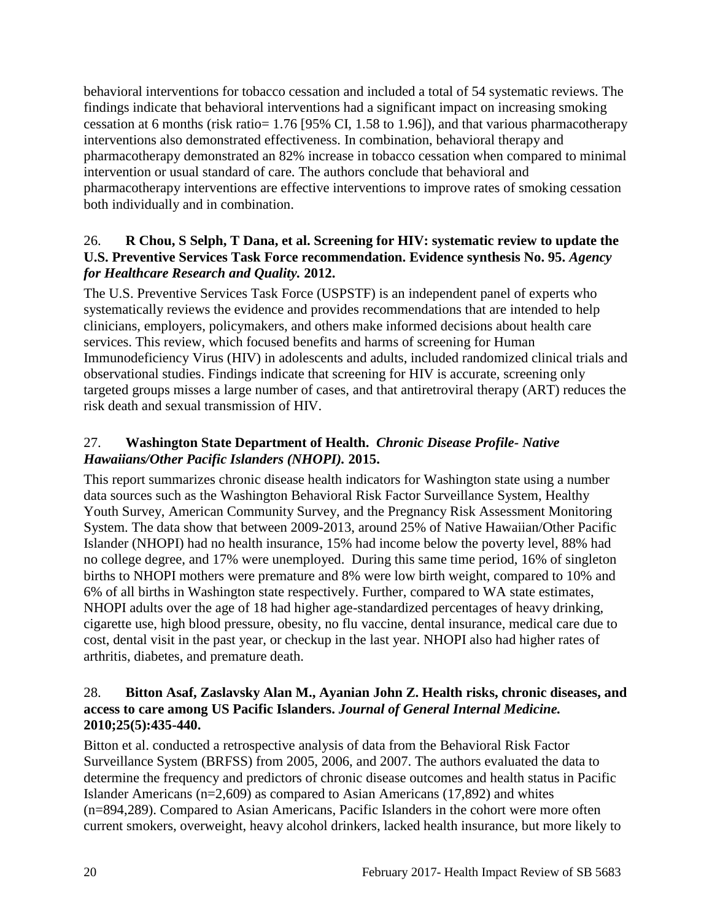behavioral interventions for tobacco cessation and included a total of 54 systematic reviews. The findings indicate that behavioral interventions had a significant impact on increasing smoking cessation at 6 months (risk ratio= 1.76 [95% CI, 1.58 to 1.96]), and that various pharmacotherapy interventions also demonstrated effectiveness. In combination, behavioral therapy and pharmacotherapy demonstrated an 82% increase in tobacco cessation when compared to minimal intervention or usual standard of care. The authors conclude that behavioral and pharmacotherapy interventions are effective interventions to improve rates of smoking cessation both individually and in combination.

#### <span id="page-21-1"></span>26. **R Chou, S Selph, T Dana, et al. Screening for HIV: systematic review to update the U.S. Preventive Services Task Force recommendation. Evidence synthesis No. 95.** *Agency for Healthcare Research and Quality.* **2012.**

The U.S. Preventive Services Task Force (USPSTF) is an independent panel of experts who systematically reviews the evidence and provides recommendations that are intended to help clinicians, employers, policymakers, and others make informed decisions about health care services. This review, which focused benefits and harms of screening for Human Immunodeficiency Virus (HIV) in adolescents and adults, included randomized clinical trials and observational studies. Findings indicate that screening for HIV is accurate, screening only targeted groups misses a large number of cases, and that antiretroviral therapy (ART) reduces the risk death and sexual transmission of HIV.

## <span id="page-21-0"></span>27. **Washington State Department of Health.** *Chronic Disease Profile- Native Hawaiians/Other Pacific Islanders (NHOPI).* **2015.**

This report summarizes chronic disease health indicators for Washington state using a number data sources such as the Washington Behavioral Risk Factor Surveillance System, Healthy Youth Survey, American Community Survey, and the Pregnancy Risk Assessment Monitoring System. The data show that between 2009-2013, around 25% of Native Hawaiian/Other Pacific Islander (NHOPI) had no health insurance, 15% had income below the poverty level, 88% had no college degree, and 17% were unemployed. During this same time period, 16% of singleton births to NHOPI mothers were premature and 8% were low birth weight, compared to 10% and 6% of all births in Washington state respectively. Further, compared to WA state estimates, NHOPI adults over the age of 18 had higher age-standardized percentages of heavy drinking, cigarette use, high blood pressure, obesity, no flu vaccine, dental insurance, medical care due to cost, dental visit in the past year, or checkup in the last year. NHOPI also had higher rates of arthritis, diabetes, and premature death.

#### <span id="page-21-2"></span>28. **Bitton Asaf, Zaslavsky Alan M., Ayanian John Z. Health risks, chronic diseases, and access to care among US Pacific Islanders.** *Journal of General Internal Medicine.*  **2010;25(5):435-440.**

Bitton et al. conducted a retrospective analysis of data from the Behavioral Risk Factor Surveillance System (BRFSS) from 2005, 2006, and 2007. The authors evaluated the data to determine the frequency and predictors of chronic disease outcomes and health status in Pacific Islander Americans (n=2,609) as compared to Asian Americans (17,892) and whites (n=894,289). Compared to Asian Americans, Pacific Islanders in the cohort were more often current smokers, overweight, heavy alcohol drinkers, lacked health insurance, but more likely to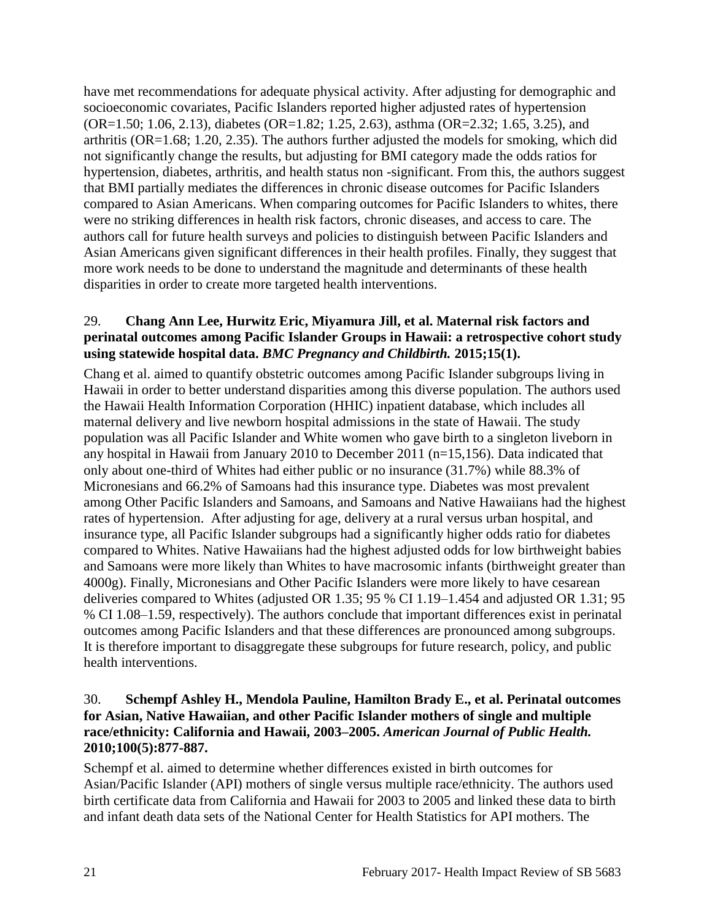have met recommendations for adequate physical activity. After adjusting for demographic and socioeconomic covariates, Pacific Islanders reported higher adjusted rates of hypertension (OR=1.50; 1.06, 2.13), diabetes (OR=1.82; 1.25, 2.63), asthma (OR=2.32; 1.65, 3.25), and arthritis (OR=1.68; 1.20, 2.35). The authors further adjusted the models for smoking, which did not significantly change the results, but adjusting for BMI category made the odds ratios for hypertension, diabetes, arthritis, and health status non -significant. From this, the authors suggest that BMI partially mediates the differences in chronic disease outcomes for Pacific Islanders compared to Asian Americans. When comparing outcomes for Pacific Islanders to whites, there were no striking differences in health risk factors, chronic diseases, and access to care. The authors call for future health surveys and policies to distinguish between Pacific Islanders and Asian Americans given significant differences in their health profiles. Finally, they suggest that more work needs to be done to understand the magnitude and determinants of these health disparities in order to create more targeted health interventions.

#### <span id="page-22-0"></span>29. **Chang Ann Lee, Hurwitz Eric, Miyamura Jill, et al. Maternal risk factors and perinatal outcomes among Pacific Islander Groups in Hawaii: a retrospective cohort study using statewide hospital data.** *BMC Pregnancy and Childbirth.* **2015;15(1).**

Chang et al. aimed to quantify obstetric outcomes among Pacific Islander subgroups living in Hawaii in order to better understand disparities among this diverse population. The authors used the Hawaii Health Information Corporation (HHIC) inpatient database, which includes all maternal delivery and live newborn hospital admissions in the state of Hawaii. The study population was all Pacific Islander and White women who gave birth to a singleton liveborn in any hospital in Hawaii from January 2010 to December 2011 (n=15,156). Data indicated that only about one-third of Whites had either public or no insurance (31.7%) while 88.3% of Micronesians and 66.2% of Samoans had this insurance type. Diabetes was most prevalent among Other Pacific Islanders and Samoans, and Samoans and Native Hawaiians had the highest rates of hypertension. After adjusting for age, delivery at a rural versus urban hospital, and insurance type, all Pacific Islander subgroups had a significantly higher odds ratio for diabetes compared to Whites. Native Hawaiians had the highest adjusted odds for low birthweight babies and Samoans were more likely than Whites to have macrosomic infants (birthweight greater than 4000g). Finally, Micronesians and Other Pacific Islanders were more likely to have cesarean deliveries compared to Whites (adjusted OR 1.35; 95 % CI 1.19–1.454 and adjusted OR 1.31; 95 % CI 1.08–1.59, respectively). The authors conclude that important differences exist in perinatal outcomes among Pacific Islanders and that these differences are pronounced among subgroups. It is therefore important to disaggregate these subgroups for future research, policy, and public health interventions.

#### <span id="page-22-1"></span>30. **Schempf Ashley H., Mendola Pauline, Hamilton Brady E., et al. Perinatal outcomes for Asian, Native Hawaiian, and other Pacific Islander mothers of single and multiple race/ethnicity: California and Hawaii, 2003–2005.** *American Journal of Public Health.*  **2010;100(5):877-887.**

Schempf et al. aimed to determine whether differences existed in birth outcomes for Asian/Pacific Islander (API) mothers of single versus multiple race/ethnicity. The authors used birth certificate data from California and Hawaii for 2003 to 2005 and linked these data to birth and infant death data sets of the National Center for Health Statistics for API mothers. The